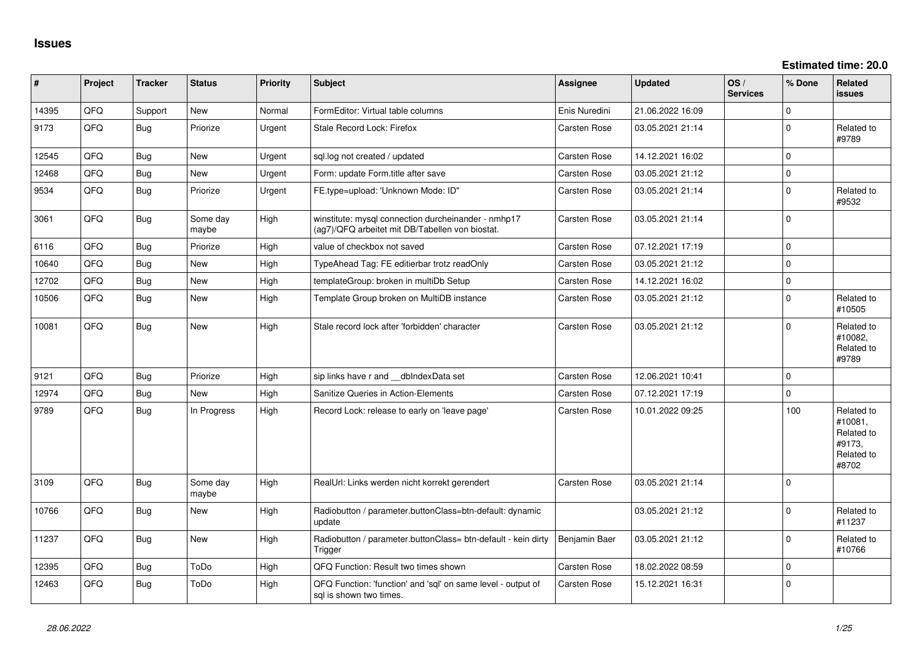| #     | Project | <b>Tracker</b> | <b>Status</b>     | Priority | <b>Subject</b>                                                                                         | <b>Assignee</b>     | <b>Updated</b>   | OS/<br><b>Services</b> | % Done       | Related<br><b>issues</b>                                             |
|-------|---------|----------------|-------------------|----------|--------------------------------------------------------------------------------------------------------|---------------------|------------------|------------------------|--------------|----------------------------------------------------------------------|
| 14395 | QFQ     | Support        | New               | Normal   | FormEditor: Virtual table columns                                                                      | Enis Nuredini       | 21.06.2022 16:09 |                        | $\mathbf{0}$ |                                                                      |
| 9173  | QFQ     | Bug            | Priorize          | Urgent   | Stale Record Lock: Firefox                                                                             | <b>Carsten Rose</b> | 03.05.2021 21:14 |                        | $\mathbf{0}$ | Related to<br>#9789                                                  |
| 12545 | QFQ     | Bug            | New               | Urgent   | sql.log not created / updated                                                                          | Carsten Rose        | 14.12.2021 16:02 |                        | $\mathbf{0}$ |                                                                      |
| 12468 | QFQ     | <b>Bug</b>     | New               | Urgent   | Form: update Form.title after save                                                                     | Carsten Rose        | 03.05.2021 21:12 |                        | 0            |                                                                      |
| 9534  | QFQ     | Bug            | Priorize          | Urgent   | FE.type=upload: 'Unknown Mode: ID"                                                                     | <b>Carsten Rose</b> | 03.05.2021 21:14 |                        | 0            | Related to<br>#9532                                                  |
| 3061  | QFQ     | Bug            | Some day<br>maybe | High     | winstitute: mysql connection durcheinander - nmhp17<br>(ag7)/QFQ arbeitet mit DB/Tabellen von biostat. | <b>Carsten Rose</b> | 03.05.2021 21:14 |                        | $\Omega$     |                                                                      |
| 6116  | QFQ     | Bug            | Priorize          | High     | value of checkbox not saved                                                                            | Carsten Rose        | 07.12.2021 17:19 |                        | $\mathbf 0$  |                                                                      |
| 10640 | QFQ     | Bug            | New               | High     | TypeAhead Tag: FE editierbar trotz readOnly                                                            | <b>Carsten Rose</b> | 03.05.2021 21:12 |                        | $\Omega$     |                                                                      |
| 12702 | QFQ     | Bug            | <b>New</b>        | High     | templateGroup: broken in multiDb Setup                                                                 | Carsten Rose        | 14.12.2021 16:02 |                        | $\mathbf{0}$ |                                                                      |
| 10506 | QFQ     | Bug            | <b>New</b>        | High     | Template Group broken on MultiDB instance                                                              | <b>Carsten Rose</b> | 03.05.2021 21:12 |                        | $\Omega$     | Related to<br>#10505                                                 |
| 10081 | QFQ     | Bug            | New               | High     | Stale record lock after 'forbidden' character                                                          | <b>Carsten Rose</b> | 03.05.2021 21:12 |                        | $\mathbf 0$  | Related to<br>#10082,<br>Related to<br>#9789                         |
| 9121  | QFQ     | <b>Bug</b>     | Priorize          | High     | sip links have r and __dbIndexData set                                                                 | Carsten Rose        | 12.06.2021 10:41 |                        | $\mathbf{0}$ |                                                                      |
| 12974 | QFQ     | <b>Bug</b>     | New               | High     | Sanitize Queries in Action-Elements                                                                    | Carsten Rose        | 07.12.2021 17:19 |                        | $\mathbf{0}$ |                                                                      |
| 9789  | QFQ     | Bug            | In Progress       | High     | Record Lock: release to early on 'leave page'                                                          | <b>Carsten Rose</b> | 10.01.2022 09:25 |                        | 100          | Related to<br>#10081,<br>Related to<br>#9173,<br>Related to<br>#8702 |
| 3109  | QFQ     | Bug            | Some day<br>maybe | High     | RealUrl: Links werden nicht korrekt gerendert                                                          | <b>Carsten Rose</b> | 03.05.2021 21:14 |                        | $\Omega$     |                                                                      |
| 10766 | QFQ     | Bug            | <b>New</b>        | High     | Radiobutton / parameter.buttonClass=btn-default: dynamic<br>update                                     |                     | 03.05.2021 21:12 |                        | $\mathbf{0}$ | Related to<br>#11237                                                 |
| 11237 | QFQ     | Bug            | <b>New</b>        | High     | Radiobutton / parameter.buttonClass= btn-default - kein dirty<br>Trigger                               | Benjamin Baer       | 03.05.2021 21:12 |                        | $\mathbf 0$  | Related to<br>#10766                                                 |
| 12395 | QFQ     | Bug            | ToDo              | High     | QFQ Function: Result two times shown                                                                   | Carsten Rose        | 18.02.2022 08:59 |                        | $\mathbf{0}$ |                                                                      |
| 12463 | QFQ     | Bug            | ToDo              | High     | QFQ Function: 'function' and 'sql' on same level - output of<br>sal is shown two times.                | <b>Carsten Rose</b> | 15.12.2021 16:31 |                        | $\mathbf 0$  |                                                                      |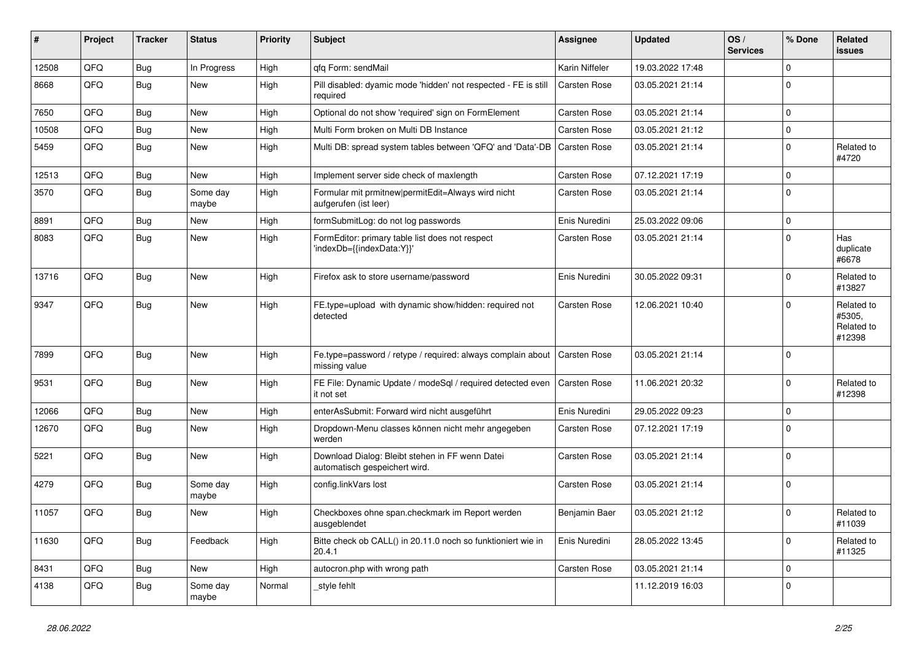| #     | Project | <b>Tracker</b> | <b>Status</b>     | <b>Priority</b> | <b>Subject</b>                                                                   | <b>Assignee</b> | <b>Updated</b>   | OS/<br><b>Services</b> | % Done         | Related<br><b>issues</b>                     |
|-------|---------|----------------|-------------------|-----------------|----------------------------------------------------------------------------------|-----------------|------------------|------------------------|----------------|----------------------------------------------|
| 12508 | QFQ     | Bug            | In Progress       | High            | gfg Form: sendMail                                                               | Karin Niffeler  | 19.03.2022 17:48 |                        | $\Omega$       |                                              |
| 8668  | QFQ     | Bug            | New               | High            | Pill disabled: dyamic mode 'hidden' not respected - FE is still<br>required      | Carsten Rose    | 03.05.2021 21:14 |                        | $\overline{0}$ |                                              |
| 7650  | QFQ     | Bug            | <b>New</b>        | High            | Optional do not show 'required' sign on FormElement                              | Carsten Rose    | 03.05.2021 21:14 |                        | $\Omega$       |                                              |
| 10508 | QFQ     | Bug            | <b>New</b>        | High            | Multi Form broken on Multi DB Instance                                           | Carsten Rose    | 03.05.2021 21:12 |                        | $\mathbf{0}$   |                                              |
| 5459  | QFQ     | <b>Bug</b>     | <b>New</b>        | High            | Multi DB: spread system tables between 'QFQ' and 'Data'-DB                       | Carsten Rose    | 03.05.2021 21:14 |                        | $\Omega$       | Related to<br>#4720                          |
| 12513 | QFQ     | Bug            | <b>New</b>        | High            | Implement server side check of maxlength                                         | Carsten Rose    | 07.12.2021 17:19 |                        | $\Omega$       |                                              |
| 3570  | QFQ     | <b>Bug</b>     | Some day<br>maybe | High            | Formular mit prmitnew permitEdit=Always wird nicht<br>aufgerufen (ist leer)      | Carsten Rose    | 03.05.2021 21:14 |                        | $\Omega$       |                                              |
| 8891  | QFQ     | <b>Bug</b>     | <b>New</b>        | High            | formSubmitLog: do not log passwords                                              | Enis Nuredini   | 25.03.2022 09:06 |                        | $\overline{0}$ |                                              |
| 8083  | QFQ     | Bug            | <b>New</b>        | High            | FormEditor: primary table list does not respect<br>'indexDb={{indexData:Y}}'     | Carsten Rose    | 03.05.2021 21:14 |                        | $\Omega$       | Has<br>duplicate<br>#6678                    |
| 13716 | QFQ     | Bug            | <b>New</b>        | High            | Firefox ask to store username/password                                           | Enis Nuredini   | 30.05.2022 09:31 |                        | $\Omega$       | Related to<br>#13827                         |
| 9347  | QFQ     | Bug            | <b>New</b>        | High            | FE.type=upload with dynamic show/hidden: required not<br>detected                | Carsten Rose    | 12.06.2021 10:40 |                        | $\mathbf{0}$   | Related to<br>#5305,<br>Related to<br>#12398 |
| 7899  | QFQ     | Bug            | <b>New</b>        | High            | Fe.type=password / retype / required: always complain about<br>missing value     | Carsten Rose    | 03.05.2021 21:14 |                        | $\overline{0}$ |                                              |
| 9531  | QFQ     | <b>Bug</b>     | <b>New</b>        | High            | FE File: Dynamic Update / modeSql / required detected even<br>it not set         | Carsten Rose    | 11.06.2021 20:32 |                        | $\Omega$       | Related to<br>#12398                         |
| 12066 | QFQ     | <b>Bug</b>     | <b>New</b>        | High            | enterAsSubmit: Forward wird nicht ausgeführt                                     | Enis Nuredini   | 29.05.2022 09:23 |                        | $\Omega$       |                                              |
| 12670 | QFQ     | Bug            | <b>New</b>        | High            | Dropdown-Menu classes können nicht mehr angegeben<br>werden                      | Carsten Rose    | 07.12.2021 17:19 |                        | $\overline{0}$ |                                              |
| 5221  | QFQ     | <b>Bug</b>     | <b>New</b>        | High            | Download Dialog: Bleibt stehen in FF wenn Datei<br>automatisch gespeichert wird. | Carsten Rose    | 03.05.2021 21:14 |                        | $\Omega$       |                                              |
| 4279  | QFQ     | Bug            | Some day<br>maybe | High            | config.linkVars lost                                                             | Carsten Rose    | 03.05.2021 21:14 |                        | $\mathbf{0}$   |                                              |
| 11057 | QFQ     | Bug            | New               | High            | Checkboxes ohne span.checkmark im Report werden<br>ausgeblendet                  | Benjamin Baer   | 03.05.2021 21:12 |                        | $\Omega$       | Related to<br>#11039                         |
| 11630 | QFQ     | Bug            | Feedback          | High            | Bitte check ob CALL() in 20.11.0 noch so funktioniert wie in<br>20.4.1           | Enis Nuredini   | 28.05.2022 13:45 |                        | $\Omega$       | Related to<br>#11325                         |
| 8431  | QFQ     | <b>Bug</b>     | New               | High            | autocron.php with wrong path                                                     | Carsten Rose    | 03.05.2021 21:14 |                        | $\mathbf{0}$   |                                              |
| 4138  | QFQ     | Bug            | Some day<br>maybe | Normal          | style fehlt                                                                      |                 | 11.12.2019 16:03 |                        | $\mathbf{0}$   |                                              |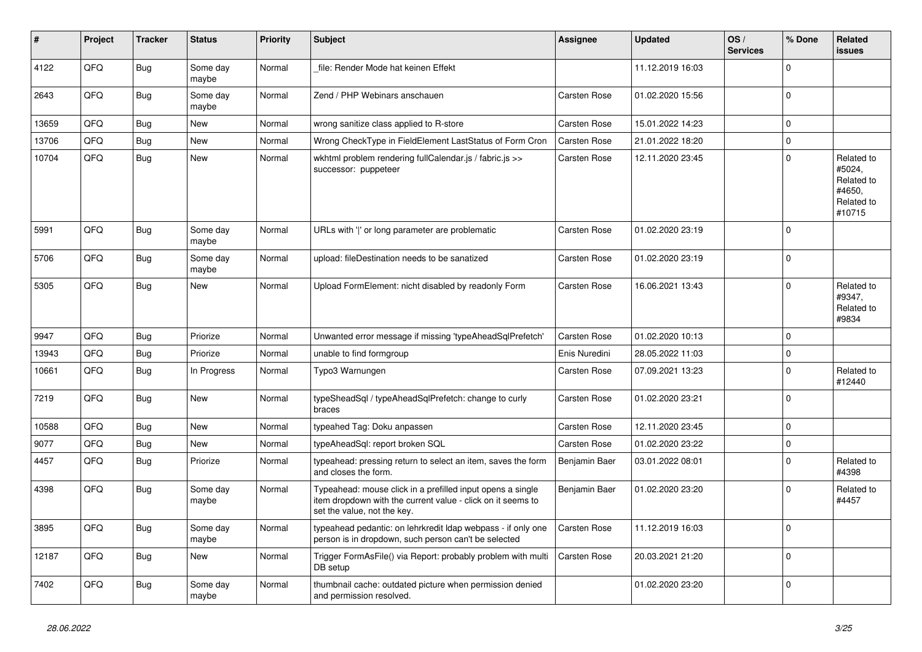| #     | Project | <b>Tracker</b> | <b>Status</b>     | <b>Priority</b> | <b>Subject</b>                                                                                                                                           | Assignee            | <b>Updated</b>   | OS/<br><b>Services</b> | % Done         | Related<br><b>issues</b>                                             |
|-------|---------|----------------|-------------------|-----------------|----------------------------------------------------------------------------------------------------------------------------------------------------------|---------------------|------------------|------------------------|----------------|----------------------------------------------------------------------|
| 4122  | QFQ     | <b>Bug</b>     | Some day<br>maybe | Normal          | file: Render Mode hat keinen Effekt                                                                                                                      |                     | 11.12.2019 16:03 |                        | $\mathbf{0}$   |                                                                      |
| 2643  | QFQ     | Bug            | Some day<br>maybe | Normal          | Zend / PHP Webinars anschauen                                                                                                                            | Carsten Rose        | 01.02.2020 15:56 |                        | $\mathbf 0$    |                                                                      |
| 13659 | QFQ     | Bug            | New               | Normal          | wrong sanitize class applied to R-store                                                                                                                  | Carsten Rose        | 15.01.2022 14:23 |                        | $\mathbf{0}$   |                                                                      |
| 13706 | QFQ     | Bug            | New               | Normal          | Wrong CheckType in FieldElement LastStatus of Form Cron                                                                                                  | Carsten Rose        | 21.01.2022 18:20 |                        | $\mathbf 0$    |                                                                      |
| 10704 | QFQ     | Bug            | New               | Normal          | wkhtml problem rendering fullCalendar.js / fabric.js >><br>successor: puppeteer                                                                          | Carsten Rose        | 12.11.2020 23:45 |                        | $\mathbf{0}$   | Related to<br>#5024,<br>Related to<br>#4650,<br>Related to<br>#10715 |
| 5991  | QFQ     | <b>Bug</b>     | Some day<br>maybe | Normal          | URLs with ' ' or long parameter are problematic                                                                                                          | Carsten Rose        | 01.02.2020 23:19 |                        | $\mathbf{0}$   |                                                                      |
| 5706  | QFQ     | Bug            | Some day<br>maybe | Normal          | upload: fileDestination needs to be sanatized                                                                                                            | Carsten Rose        | 01.02.2020 23:19 |                        | $\mathbf 0$    |                                                                      |
| 5305  | QFQ     | Bug            | <b>New</b>        | Normal          | Upload FormElement: nicht disabled by readonly Form                                                                                                      | <b>Carsten Rose</b> | 16.06.2021 13:43 |                        | $\Omega$       | Related to<br>#9347,<br>Related to<br>#9834                          |
| 9947  | QFQ     | Bug            | Priorize          | Normal          | Unwanted error message if missing 'typeAheadSqlPrefetch'                                                                                                 | Carsten Rose        | 01.02.2020 10:13 |                        | $\mathbf 0$    |                                                                      |
| 13943 | QFQ     | <b>Bug</b>     | Priorize          | Normal          | unable to find formgroup                                                                                                                                 | Enis Nuredini       | 28.05.2022 11:03 |                        | $\mathbf 0$    |                                                                      |
| 10661 | QFQ     | Bug            | In Progress       | Normal          | Typo3 Warnungen                                                                                                                                          | Carsten Rose        | 07.09.2021 13:23 |                        | $\overline{0}$ | Related to<br>#12440                                                 |
| 7219  | QFQ     | Bug            | <b>New</b>        | Normal          | typeSheadSql / typeAheadSqlPrefetch: change to curly<br>braces                                                                                           | Carsten Rose        | 01.02.2020 23:21 |                        | $\mathbf{0}$   |                                                                      |
| 10588 | QFQ     | Bug            | <b>New</b>        | Normal          | typeahed Tag: Doku anpassen                                                                                                                              | Carsten Rose        | 12.11.2020 23:45 |                        | $\mathbf{0}$   |                                                                      |
| 9077  | QFQ     | Bug            | New               | Normal          | typeAheadSql: report broken SQL                                                                                                                          | Carsten Rose        | 01.02.2020 23:22 |                        | $\mathbf 0$    |                                                                      |
| 4457  | QFQ     | Bug            | Priorize          | Normal          | typeahead: pressing return to select an item, saves the form<br>and closes the form.                                                                     | Benjamin Baer       | 03.01.2022 08:01 |                        | $\mathbf 0$    | Related to<br>#4398                                                  |
| 4398  | QFQ     | Bug            | Some day<br>maybe | Normal          | Typeahead: mouse click in a prefilled input opens a single<br>item dropdown with the current value - click on it seems to<br>set the value, not the key. | Benjamin Baer       | 01.02.2020 23:20 |                        | $\mathbf{0}$   | Related to<br>#4457                                                  |
| 3895  | QFQ     | Bug            | Some day<br>maybe | Normal          | typeahead pedantic: on lehrkredit Idap webpass - if only one<br>person is in dropdown, such person can't be selected                                     | Carsten Rose        | 11.12.2019 16:03 |                        | $\mathbf{0}$   |                                                                      |
| 12187 | QFQ     | Bug            | New               | Normal          | Trigger FormAsFile() via Report: probably problem with multi<br>DB setup                                                                                 | Carsten Rose        | 20.03.2021 21:20 |                        | $\overline{0}$ |                                                                      |
| 7402  | QFQ     | Bug            | Some day<br>maybe | Normal          | thumbnail cache: outdated picture when permission denied<br>and permission resolved.                                                                     |                     | 01.02.2020 23:20 |                        | $\overline{0}$ |                                                                      |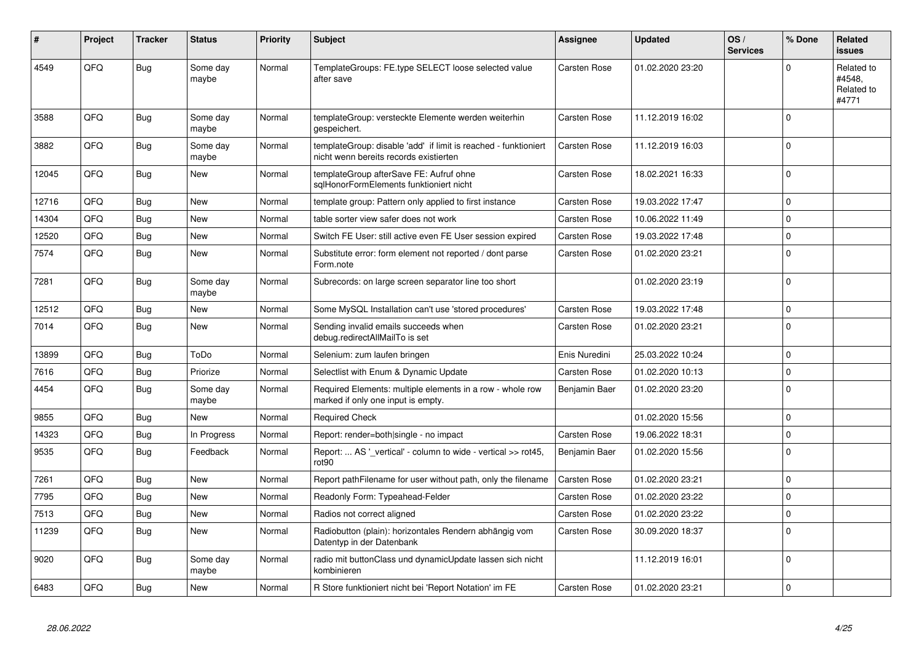| ∣#    | Project | <b>Tracker</b> | <b>Status</b>     | <b>Priority</b> | <b>Subject</b>                                                                                            | Assignee            | <b>Updated</b>   | OS/<br><b>Services</b> | % Done      | Related<br><b>issues</b>                    |
|-------|---------|----------------|-------------------|-----------------|-----------------------------------------------------------------------------------------------------------|---------------------|------------------|------------------------|-------------|---------------------------------------------|
| 4549  | QFQ     | Bug            | Some day<br>maybe | Normal          | TemplateGroups: FE.type SELECT loose selected value<br>after save                                         | Carsten Rose        | 01.02.2020 23:20 |                        | $\Omega$    | Related to<br>#4548,<br>Related to<br>#4771 |
| 3588  | QFQ     | Bug            | Some day<br>maybe | Normal          | templateGroup: versteckte Elemente werden weiterhin<br>gespeichert.                                       | Carsten Rose        | 11.12.2019 16:02 |                        | $\Omega$    |                                             |
| 3882  | QFQ     | <b>Bug</b>     | Some day<br>maybe | Normal          | templateGroup: disable 'add' if limit is reached - funktioniert<br>nicht wenn bereits records existierten | Carsten Rose        | 11.12.2019 16:03 |                        | $\Omega$    |                                             |
| 12045 | QFQ     | Bug            | <b>New</b>        | Normal          | templateGroup afterSave FE: Aufruf ohne<br>sqlHonorFormElements funktioniert nicht                        | Carsten Rose        | 18.02.2021 16:33 |                        | $\Omega$    |                                             |
| 12716 | QFQ     | Bug            | <b>New</b>        | Normal          | template group: Pattern only applied to first instance                                                    | <b>Carsten Rose</b> | 19.03.2022 17:47 |                        | $\Omega$    |                                             |
| 14304 | QFQ     | Bug            | <b>New</b>        | Normal          | table sorter view safer does not work                                                                     | Carsten Rose        | 10.06.2022 11:49 |                        | $\Omega$    |                                             |
| 12520 | QFQ     | Bug            | New               | Normal          | Switch FE User: still active even FE User session expired                                                 | Carsten Rose        | 19.03.2022 17:48 |                        | $\Omega$    |                                             |
| 7574  | QFQ     | Bug            | <b>New</b>        | Normal          | Substitute error: form element not reported / dont parse<br>Form.note                                     | Carsten Rose        | 01.02.2020 23:21 |                        | $\Omega$    |                                             |
| 7281  | QFQ     | <b>Bug</b>     | Some day<br>maybe | Normal          | Subrecords: on large screen separator line too short                                                      |                     | 01.02.2020 23:19 |                        | $\Omega$    |                                             |
| 12512 | QFQ     | <b>Bug</b>     | <b>New</b>        | Normal          | Some MySQL Installation can't use 'stored procedures'                                                     | <b>Carsten Rose</b> | 19.03.2022 17:48 |                        | $\Omega$    |                                             |
| 7014  | QFQ     | <b>Bug</b>     | <b>New</b>        | Normal          | Sending invalid emails succeeds when<br>debug.redirectAllMailTo is set                                    | Carsten Rose        | 01.02.2020 23:21 |                        | $\Omega$    |                                             |
| 13899 | QFQ     | Bug            | ToDo              | Normal          | Selenium: zum laufen bringen                                                                              | Enis Nuredini       | 25.03.2022 10:24 |                        | $\Omega$    |                                             |
| 7616  | QFQ     | Bug            | Priorize          | Normal          | Selectlist with Enum & Dynamic Update                                                                     | Carsten Rose        | 01.02.2020 10:13 |                        | $\Omega$    |                                             |
| 4454  | QFQ     | <b>Bug</b>     | Some day<br>maybe | Normal          | Required Elements: multiple elements in a row - whole row<br>marked if only one input is empty.           | Benjamin Baer       | 01.02.2020 23:20 |                        | $\Omega$    |                                             |
| 9855  | QFQ     | Bug            | New               | Normal          | <b>Required Check</b>                                                                                     |                     | 01.02.2020 15:56 |                        | $\Omega$    |                                             |
| 14323 | QFQ     | Bug            | In Progress       | Normal          | Report: render=both single - no impact                                                                    | Carsten Rose        | 19.06.2022 18:31 |                        | $\Omega$    |                                             |
| 9535  | QFQ     | <b>Bug</b>     | Feedback          | Normal          | Report:  AS '_vertical' - column to wide - vertical >> rot45,<br>rot <sub>90</sub>                        | Benjamin Baer       | 01.02.2020 15:56 |                        | $\Omega$    |                                             |
| 7261  | QFQ     | <b>Bug</b>     | <b>New</b>        | Normal          | Report pathFilename for user without path, only the filename                                              | Carsten Rose        | 01.02.2020 23:21 |                        | $\Omega$    |                                             |
| 7795  | QFQ     | Bug            | <b>New</b>        | Normal          | Readonly Form: Typeahead-Felder                                                                           | <b>Carsten Rose</b> | 01.02.2020 23:22 |                        | $\Omega$    |                                             |
| 7513  | QFQ     | <b>Bug</b>     | <b>New</b>        | Normal          | Radios not correct aligned                                                                                | Carsten Rose        | 01.02.2020 23:22 |                        | $\Omega$    |                                             |
| 11239 | QFQ     | Bug            | <b>New</b>        | Normal          | Radiobutton (plain): horizontales Rendern abhängig vom<br>Datentyp in der Datenbank                       | Carsten Rose        | 30.09.2020 18:37 |                        | $\Omega$    |                                             |
| 9020  | QFQ     | Bug            | Some day<br>maybe | Normal          | radio mit buttonClass und dynamicUpdate lassen sich nicht<br>kombinieren                                  |                     | 11.12.2019 16:01 |                        | $\Omega$    |                                             |
| 6483  | QFQ     | Bug            | <b>New</b>        | Normal          | R Store funktioniert nicht bei 'Report Notation' im FE                                                    | Carsten Rose        | 01.02.2020 23:21 |                        | $\mathbf 0$ |                                             |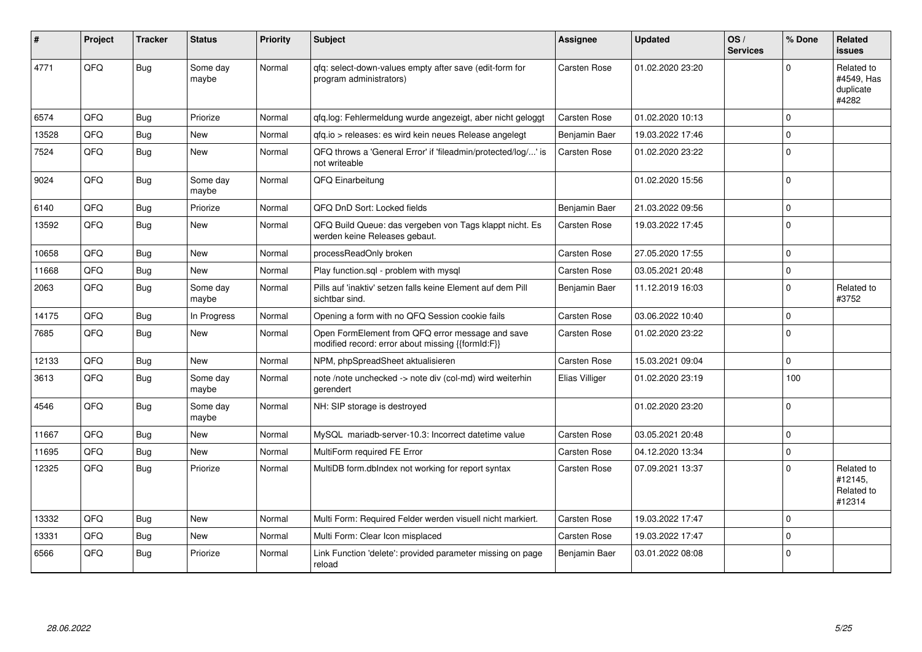| #     | Project | <b>Tracker</b> | <b>Status</b>     | <b>Priority</b> | <b>Subject</b>                                                                                        | <b>Assignee</b>     | <b>Updated</b>   | OS/<br><b>Services</b> | % Done      | Related<br><b>issues</b>                       |
|-------|---------|----------------|-------------------|-----------------|-------------------------------------------------------------------------------------------------------|---------------------|------------------|------------------------|-------------|------------------------------------------------|
| 4771  | QFQ     | <b>Bug</b>     | Some day<br>maybe | Normal          | qfq: select-down-values empty after save (edit-form for<br>program administrators)                    | <b>Carsten Rose</b> | 01.02.2020 23:20 |                        | U           | Related to<br>#4549, Has<br>duplicate<br>#4282 |
| 6574  | QFQ     | Bug            | Priorize          | Normal          | qfq.log: Fehlermeldung wurde angezeigt, aber nicht geloggt                                            | <b>Carsten Rose</b> | 01.02.2020 10:13 |                        | $\Omega$    |                                                |
| 13528 | QFQ     | <b>Bug</b>     | New               | Normal          | gfg.io > releases: es wird kein neues Release angelegt                                                | Benjamin Baer       | 19.03.2022 17:46 |                        | $\Omega$    |                                                |
| 7524  | QFQ     | <b>Bug</b>     | New               | Normal          | QFQ throws a 'General Error' if 'fileadmin/protected/log/' is<br>not writeable                        | Carsten Rose        | 01.02.2020 23:22 |                        | $\mathbf 0$ |                                                |
| 9024  | QFQ     | Bug            | Some day<br>maybe | Normal          | QFQ Einarbeitung                                                                                      |                     | 01.02.2020 15:56 |                        | $\Omega$    |                                                |
| 6140  | QFQ     | Bug            | Priorize          | Normal          | QFQ DnD Sort: Locked fields                                                                           | Benjamin Baer       | 21.03.2022 09:56 |                        | $\mathbf 0$ |                                                |
| 13592 | QFQ     | Bug            | <b>New</b>        | Normal          | QFQ Build Queue: das vergeben von Tags klappt nicht. Es<br>werden keine Releases gebaut.              | Carsten Rose        | 19.03.2022 17:45 |                        | $\Omega$    |                                                |
| 10658 | QFQ     | Bug            | <b>New</b>        | Normal          | processReadOnly broken                                                                                | Carsten Rose        | 27.05.2020 17:55 |                        | $\mathbf 0$ |                                                |
| 11668 | QFQ     | Bug            | <b>New</b>        | Normal          | Play function.sql - problem with mysql                                                                | Carsten Rose        | 03.05.2021 20:48 |                        | $\Omega$    |                                                |
| 2063  | QFQ     | Bug            | Some day<br>maybe | Normal          | Pills auf 'inaktiv' setzen falls keine Element auf dem Pill<br>sichtbar sind.                         | Benjamin Baer       | 11.12.2019 16:03 |                        | $\Omega$    | Related to<br>#3752                            |
| 14175 | QFQ     | <b>Bug</b>     | In Progress       | Normal          | Opening a form with no QFQ Session cookie fails                                                       | Carsten Rose        | 03.06.2022 10:40 |                        | $\mathbf 0$ |                                                |
| 7685  | QFQ     | Bug            | New               | Normal          | Open FormElement from QFQ error message and save<br>modified record: error about missing {{formId:F}} | Carsten Rose        | 01.02.2020 23:22 |                        | $\Omega$    |                                                |
| 12133 | QFQ     | <b>Bug</b>     | <b>New</b>        | Normal          | NPM, phpSpreadSheet aktualisieren                                                                     | <b>Carsten Rose</b> | 15.03.2021 09:04 |                        | $\Omega$    |                                                |
| 3613  | QFQ     | Bug            | Some day<br>maybe | Normal          | note /note unchecked -> note div (col-md) wird weiterhin<br>gerendert                                 | Elias Villiger      | 01.02.2020 23:19 |                        | 100         |                                                |
| 4546  | QFQ     | Bug            | Some day<br>maybe | Normal          | NH: SIP storage is destroyed                                                                          |                     | 01.02.2020 23:20 |                        | $\Omega$    |                                                |
| 11667 | QFQ     | Bug            | <b>New</b>        | Normal          | MySQL mariadb-server-10.3: Incorrect datetime value                                                   | <b>Carsten Rose</b> | 03.05.2021 20:48 |                        | $\Omega$    |                                                |
| 11695 | QFQ     | <b>Bug</b>     | New               | Normal          | MultiForm required FE Error                                                                           | <b>Carsten Rose</b> | 04.12.2020 13:34 |                        | $\Omega$    |                                                |
| 12325 | QFQ     | Bug            | Priorize          | Normal          | MultiDB form.dbIndex not working for report syntax                                                    | Carsten Rose        | 07.09.2021 13:37 |                        | $\Omega$    | Related to<br>#12145,<br>Related to<br>#12314  |
| 13332 | QFQ     | <b>Bug</b>     | <b>New</b>        | Normal          | Multi Form: Required Felder werden visuell nicht markiert.                                            | Carsten Rose        | 19.03.2022 17:47 |                        | 0           |                                                |
| 13331 | QFQ     | Bug            | <b>New</b>        | Normal          | Multi Form: Clear Icon misplaced                                                                      | <b>Carsten Rose</b> | 19.03.2022 17:47 |                        | $\Omega$    |                                                |
| 6566  | QFQ     | <b>Bug</b>     | Priorize          | Normal          | Link Function 'delete': provided parameter missing on page<br>reload                                  | Benjamin Baer       | 03.01.2022 08:08 |                        | $\Omega$    |                                                |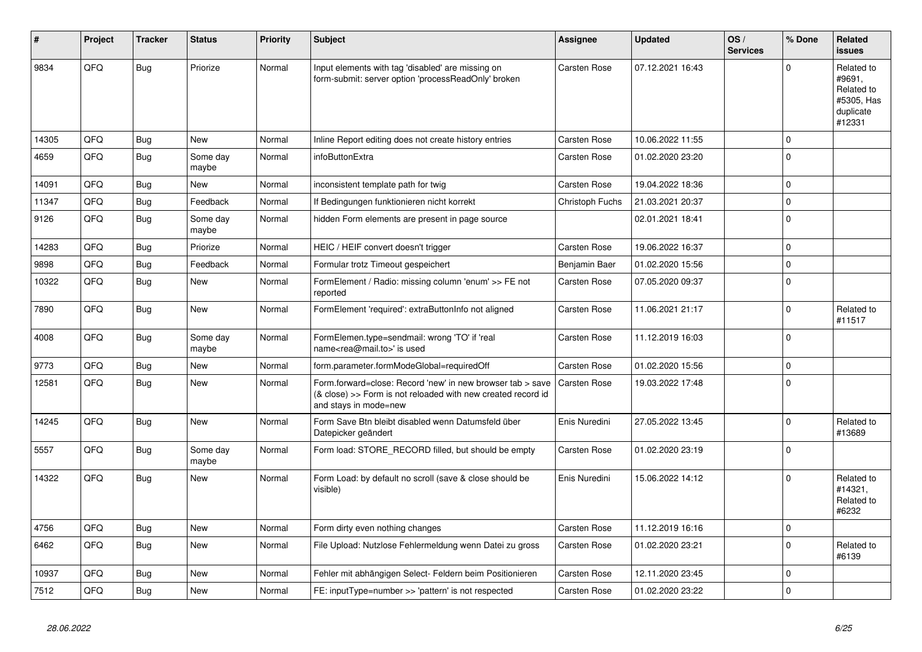| #     | Project | <b>Tracker</b> | <b>Status</b>     | <b>Priority</b> | <b>Subject</b>                                                                                                                                      | Assignee            | <b>Updated</b>   | OS/<br><b>Services</b> | % Done         | Related<br><b>issues</b>                                                |
|-------|---------|----------------|-------------------|-----------------|-----------------------------------------------------------------------------------------------------------------------------------------------------|---------------------|------------------|------------------------|----------------|-------------------------------------------------------------------------|
| 9834  | QFQ     | Bug            | Priorize          | Normal          | Input elements with tag 'disabled' are missing on<br>form-submit: server option 'processReadOnly' broken                                            | Carsten Rose        | 07.12.2021 16:43 |                        | $\Omega$       | Related to<br>#9691,<br>Related to<br>#5305, Has<br>duplicate<br>#12331 |
| 14305 | QFQ     | <b>Bug</b>     | New               | Normal          | Inline Report editing does not create history entries                                                                                               | Carsten Rose        | 10.06.2022 11:55 |                        | $\mathbf 0$    |                                                                         |
| 4659  | QFQ     | <b>Bug</b>     | Some day<br>maybe | Normal          | infoButtonExtra                                                                                                                                     | <b>Carsten Rose</b> | 01.02.2020 23:20 |                        | $\Omega$       |                                                                         |
| 14091 | QFQ     | <b>Bug</b>     | New               | Normal          | inconsistent template path for twig                                                                                                                 | Carsten Rose        | 19.04.2022 18:36 |                        | $\mathbf 0$    |                                                                         |
| 11347 | QFQ     | <b>Bug</b>     | Feedback          | Normal          | If Bedingungen funktionieren nicht korrekt                                                                                                          | Christoph Fuchs     | 21.03.2021 20:37 |                        | $\Omega$       |                                                                         |
| 9126  | QFQ     | <b>Bug</b>     | Some day<br>maybe | Normal          | hidden Form elements are present in page source                                                                                                     |                     | 02.01.2021 18:41 |                        | $\mathbf{0}$   |                                                                         |
| 14283 | QFQ     | <b>Bug</b>     | Priorize          | Normal          | HEIC / HEIF convert doesn't trigger                                                                                                                 | <b>Carsten Rose</b> | 19.06.2022 16:37 |                        | $\overline{0}$ |                                                                         |
| 9898  | QFQ     | <b>Bug</b>     | Feedback          | Normal          | Formular trotz Timeout gespeichert                                                                                                                  | Benjamin Baer       | 01.02.2020 15:56 |                        | $\mathbf{0}$   |                                                                         |
| 10322 | QFQ     | <b>Bug</b>     | <b>New</b>        | Normal          | FormElement / Radio: missing column 'enum' >> FE not<br>reported                                                                                    | Carsten Rose        | 07.05.2020 09:37 |                        | $\Omega$       |                                                                         |
| 7890  | QFQ     | <b>Bug</b>     | New               | Normal          | FormElement 'required': extraButtonInfo not aligned                                                                                                 | Carsten Rose        | 11.06.2021 21:17 |                        | $\mathbf 0$    | Related to<br>#11517                                                    |
| 4008  | QFQ     | <b>Bug</b>     | Some day<br>maybe | Normal          | FormElemen.type=sendmail: wrong 'TO' if 'real<br>name <rea@mail.to>' is used</rea@mail.to>                                                          | Carsten Rose        | 11.12.2019 16:03 |                        | 0              |                                                                         |
| 9773  | QFQ     | <b>Bug</b>     | New               | Normal          | form.parameter.formModeGlobal=requiredOff                                                                                                           | Carsten Rose        | 01.02.2020 15:56 |                        | 0              |                                                                         |
| 12581 | QFQ     | Bug            | New               | Normal          | Form.forward=close: Record 'new' in new browser tab > save<br>(& close) >> Form is not reloaded with new created record id<br>and stays in mode=new | Carsten Rose        | 19.03.2022 17:48 |                        | $\Omega$       |                                                                         |
| 14245 | QFQ     | <b>Bug</b>     | New               | Normal          | Form Save Btn bleibt disabled wenn Datumsfeld über<br>Datepicker geändert                                                                           | Enis Nuredini       | 27.05.2022 13:45 |                        | $\Omega$       | Related to<br>#13689                                                    |
| 5557  | QFQ     | <b>Bug</b>     | Some day<br>maybe | Normal          | Form load: STORE_RECORD filled, but should be empty                                                                                                 | Carsten Rose        | 01.02.2020 23:19 |                        | $\Omega$       |                                                                         |
| 14322 | QFQ     | Bug            | New               | Normal          | Form Load: by default no scroll (save & close should be<br>visible)                                                                                 | Enis Nuredini       | 15.06.2022 14:12 |                        | $\Omega$       | Related to<br>#14321,<br>Related to<br>#6232                            |
| 4756  | QFQ     | <b>Bug</b>     | <b>New</b>        | Normal          | Form dirty even nothing changes                                                                                                                     | Carsten Rose        | 11.12.2019 16:16 |                        | $\Omega$       |                                                                         |
| 6462  | QFQ     | <b>Bug</b>     | New               | Normal          | File Upload: Nutzlose Fehlermeldung wenn Datei zu gross                                                                                             | Carsten Rose        | 01.02.2020 23:21 |                        | $\Omega$       | Related to<br>#6139                                                     |
| 10937 | QFQ     | Bug            | <b>New</b>        | Normal          | Fehler mit abhängigen Select- Feldern beim Positionieren                                                                                            | <b>Carsten Rose</b> | 12.11.2020 23:45 |                        | $\Omega$       |                                                                         |
| 7512  | QFQ     | <b>Bug</b>     | New               | Normal          | FE: inputType=number >> 'pattern' is not respected                                                                                                  | Carsten Rose        | 01.02.2020 23:22 |                        | $\mathbf{0}$   |                                                                         |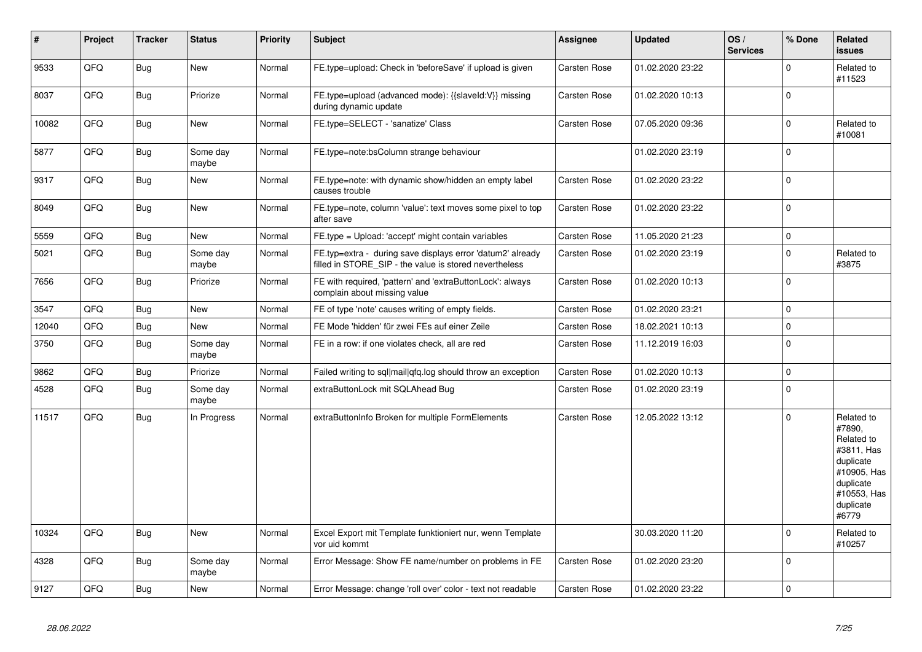| $\vert$ # | Project | <b>Tracker</b> | <b>Status</b>     | <b>Priority</b> | <b>Subject</b>                                                                                                       | Assignee            | <b>Updated</b>   | OS/<br><b>Services</b> | % Done       | Related<br><b>issues</b>                                                                                                       |
|-----------|---------|----------------|-------------------|-----------------|----------------------------------------------------------------------------------------------------------------------|---------------------|------------------|------------------------|--------------|--------------------------------------------------------------------------------------------------------------------------------|
| 9533      | QFQ     | Bug            | <b>New</b>        | Normal          | FE.type=upload: Check in 'beforeSave' if upload is given                                                             | Carsten Rose        | 01.02.2020 23:22 |                        | $\Omega$     | Related to<br>#11523                                                                                                           |
| 8037      | QFQ     | <b>Bug</b>     | Priorize          | Normal          | FE.type=upload (advanced mode): {{slaveld:V}} missing<br>during dynamic update                                       | Carsten Rose        | 01.02.2020 10:13 |                        | $\Omega$     |                                                                                                                                |
| 10082     | QFQ     | <b>Bug</b>     | <b>New</b>        | Normal          | FE.type=SELECT - 'sanatize' Class                                                                                    | Carsten Rose        | 07.05.2020 09:36 |                        | $\Omega$     | Related to<br>#10081                                                                                                           |
| 5877      | QFQ     | <b>Bug</b>     | Some day<br>maybe | Normal          | FE.type=note:bsColumn strange behaviour                                                                              |                     | 01.02.2020 23:19 |                        | $\Omega$     |                                                                                                                                |
| 9317      | QFQ     | Bug            | <b>New</b>        | Normal          | FE.type=note: with dynamic show/hidden an empty label<br>causes trouble                                              | Carsten Rose        | 01.02.2020 23:22 |                        | $\Omega$     |                                                                                                                                |
| 8049      | QFQ     | Bug            | <b>New</b>        | Normal          | FE.type=note, column 'value': text moves some pixel to top<br>after save                                             | Carsten Rose        | 01.02.2020 23:22 |                        | $\Omega$     |                                                                                                                                |
| 5559      | QFQ     | <b>Bug</b>     | <b>New</b>        | Normal          | FE.type = Upload: 'accept' might contain variables                                                                   | Carsten Rose        | 11.05.2020 21:23 |                        | $\Omega$     |                                                                                                                                |
| 5021      | QFQ     | <b>Bug</b>     | Some day<br>maybe | Normal          | FE.typ=extra - during save displays error 'datum2' already<br>filled in STORE_SIP - the value is stored nevertheless | Carsten Rose        | 01.02.2020 23:19 |                        | $\Omega$     | Related to<br>#3875                                                                                                            |
| 7656      | QFQ     | Bug            | Priorize          | Normal          | FE with required, 'pattern' and 'extraButtonLock': always<br>complain about missing value                            | Carsten Rose        | 01.02.2020 10:13 |                        | $\Omega$     |                                                                                                                                |
| 3547      | QFQ     | <b>Bug</b>     | <b>New</b>        | Normal          | FE of type 'note' causes writing of empty fields.                                                                    | <b>Carsten Rose</b> | 01.02.2020 23:21 |                        | $\Omega$     |                                                                                                                                |
| 12040     | QFQ     | <b>Bug</b>     | New               | Normal          | FE Mode 'hidden' für zwei FEs auf einer Zeile                                                                        | Carsten Rose        | 18.02.2021 10:13 |                        | $\Omega$     |                                                                                                                                |
| 3750      | QFQ     | Bug            | Some day<br>maybe | Normal          | FE in a row: if one violates check, all are red                                                                      | Carsten Rose        | 11.12.2019 16:03 |                        | $\Omega$     |                                                                                                                                |
| 9862      | QFQ     | <b>Bug</b>     | Priorize          | Normal          | Failed writing to sql mail qfq.log should throw an exception                                                         | <b>Carsten Rose</b> | 01.02.2020 10:13 |                        | $\Omega$     |                                                                                                                                |
| 4528      | QFQ     | Bug            | Some day<br>maybe | Normal          | extraButtonLock mit SQLAhead Bug                                                                                     | Carsten Rose        | 01.02.2020 23:19 |                        | $\Omega$     |                                                                                                                                |
| 11517     | QFQ     | Bug            | In Progress       | Normal          | extraButtonInfo Broken for multiple FormElements                                                                     | Carsten Rose        | 12.05.2022 13:12 |                        | $\Omega$     | Related to<br>#7890,<br>Related to<br>#3811, Has<br>duplicate<br>#10905, Has<br>duplicate<br>#10553, Has<br>duplicate<br>#6779 |
| 10324     | QFQ     | <b>Bug</b>     | New               | Normal          | Excel Export mit Template funktioniert nur, wenn Template<br>vor uid kommt                                           |                     | 30.03.2020 11:20 |                        | $\mathbf{0}$ | Related to<br>#10257                                                                                                           |
| 4328      | QFQ     | <b>Bug</b>     | Some day<br>maybe | Normal          | Error Message: Show FE name/number on problems in FE                                                                 | Carsten Rose        | 01.02.2020 23:20 |                        | $\Omega$     |                                                                                                                                |
| 9127      | QFQ     | Bug            | <b>New</b>        | Normal          | Error Message: change 'roll over' color - text not readable                                                          | Carsten Rose        | 01.02.2020 23:22 |                        | $\mathbf{0}$ |                                                                                                                                |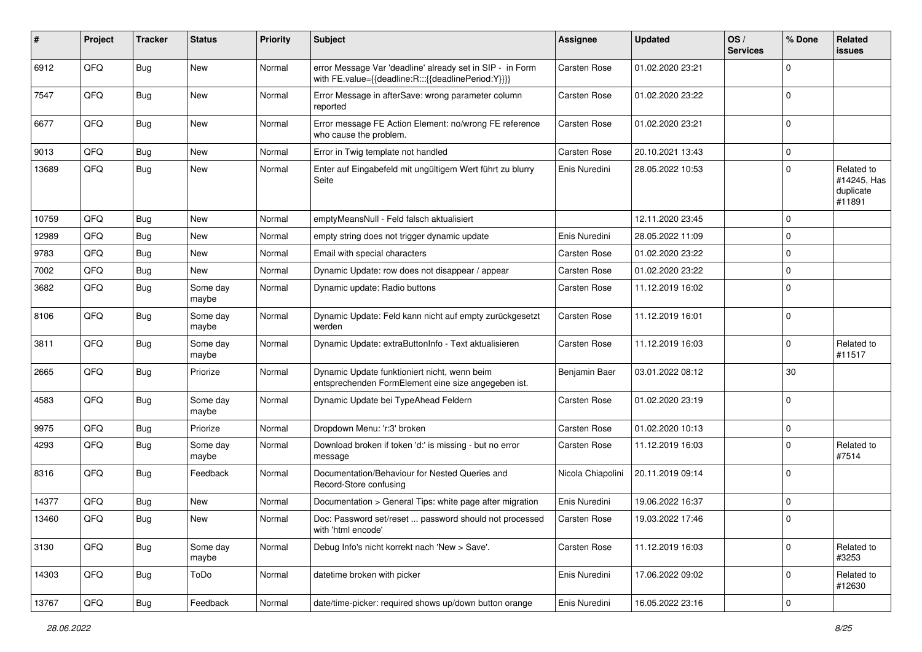| #     | Project | <b>Tracker</b> | <b>Status</b>     | <b>Priority</b> | <b>Subject</b>                                                                                                   | <b>Assignee</b>     | <b>Updated</b>   | OS/<br><b>Services</b> | % Done       | <b>Related</b><br>issues                         |
|-------|---------|----------------|-------------------|-----------------|------------------------------------------------------------------------------------------------------------------|---------------------|------------------|------------------------|--------------|--------------------------------------------------|
| 6912  | QFQ     | Bug            | <b>New</b>        | Normal          | error Message Var 'deadline' already set in SIP - in Form<br>with FE.value={{deadline:R:::{{deadlinePeriod:Y}}}} | Carsten Rose        | 01.02.2020 23:21 |                        | <sup>0</sup> |                                                  |
| 7547  | QFQ     | Bug            | New               | Normal          | Error Message in afterSave: wrong parameter column<br>reported                                                   | Carsten Rose        | 01.02.2020 23:22 |                        | 0            |                                                  |
| 6677  | QFQ     | Bug            | New               | Normal          | Error message FE Action Element: no/wrong FE reference<br>who cause the problem.                                 | Carsten Rose        | 01.02.2020 23:21 |                        | $\Omega$     |                                                  |
| 9013  | QFQ     | Bug            | <b>New</b>        | Normal          | Error in Twig template not handled                                                                               | Carsten Rose        | 20.10.2021 13:43 |                        | 0            |                                                  |
| 13689 | QFQ     | Bug            | New               | Normal          | Enter auf Eingabefeld mit ungültigem Wert führt zu blurry<br>Seite                                               | Enis Nuredini       | 28.05.2022 10:53 |                        | $\Omega$     | Related to<br>#14245, Has<br>duplicate<br>#11891 |
| 10759 | QFQ     | Bug            | <b>New</b>        | Normal          | emptyMeansNull - Feld falsch aktualisiert                                                                        |                     | 12.11.2020 23:45 |                        | $\Omega$     |                                                  |
| 12989 | QFQ     | Bug            | New               | Normal          | empty string does not trigger dynamic update                                                                     | Enis Nuredini       | 28.05.2022 11:09 |                        | 0            |                                                  |
| 9783  | QFQ     | <b>Bug</b>     | <b>New</b>        | Normal          | Email with special characters                                                                                    | Carsten Rose        | 01.02.2020 23:22 |                        | $\Omega$     |                                                  |
| 7002  | QFQ     | Bug            | New               | Normal          | Dynamic Update: row does not disappear / appear                                                                  | Carsten Rose        | 01.02.2020 23:22 |                        | $\mathbf 0$  |                                                  |
| 3682  | QFQ     | <b>Bug</b>     | Some day<br>maybe | Normal          | Dynamic update: Radio buttons                                                                                    | Carsten Rose        | 11.12.2019 16:02 |                        | $\Omega$     |                                                  |
| 8106  | QFQ     | Bug            | Some day<br>maybe | Normal          | Dynamic Update: Feld kann nicht auf empty zurückgesetzt<br>werden                                                | Carsten Rose        | 11.12.2019 16:01 |                        | $\mathbf 0$  |                                                  |
| 3811  | QFQ     | Bug            | Some day<br>maybe | Normal          | Dynamic Update: extraButtonInfo - Text aktualisieren                                                             | Carsten Rose        | 11.12.2019 16:03 |                        | 0            | Related to<br>#11517                             |
| 2665  | QFQ     | <b>Bug</b>     | Priorize          | Normal          | Dynamic Update funktioniert nicht, wenn beim<br>entsprechenden FormElement eine size angegeben ist.              | Benjamin Baer       | 03.01.2022 08:12 |                        | 30           |                                                  |
| 4583  | QFQ     | <b>Bug</b>     | Some day<br>maybe | Normal          | Dynamic Update bei TypeAhead Feldern                                                                             | Carsten Rose        | 01.02.2020 23:19 |                        | $\Omega$     |                                                  |
| 9975  | QFQ     | <b>Bug</b>     | Priorize          | Normal          | Dropdown Menu: 'r:3' broken                                                                                      | Carsten Rose        | 01.02.2020 10:13 |                        | $\mathbf 0$  |                                                  |
| 4293  | QFQ     | Bug            | Some day<br>maybe | Normal          | Download broken if token 'd:' is missing - but no error<br>message                                               | Carsten Rose        | 11.12.2019 16:03 |                        | 0            | Related to<br>#7514                              |
| 8316  | QFQ     | Bug            | Feedback          | Normal          | Documentation/Behaviour for Nested Queries and<br>Record-Store confusing                                         | Nicola Chiapolini   | 20.11.2019 09:14 |                        | $\Omega$     |                                                  |
| 14377 | QFQ     | Bug            | New               | Normal          | Documentation > General Tips: white page after migration                                                         | Enis Nuredini       | 19.06.2022 16:37 |                        | 0            |                                                  |
| 13460 | QFQ     | Bug            | New               | Normal          | Doc: Password set/reset  password should not processed<br>with 'html encode'                                     | <b>Carsten Rose</b> | 19.03.2022 17:46 |                        | $\Omega$     |                                                  |
| 3130  | QFQ     | <b>Bug</b>     | Some day<br>maybe | Normal          | Debug Info's nicht korrekt nach 'New > Save'.                                                                    | Carsten Rose        | 11.12.2019 16:03 |                        | $\Omega$     | Related to<br>#3253                              |
| 14303 | QFQ     | Bug            | ToDo              | Normal          | datetime broken with picker                                                                                      | Enis Nuredini       | 17.06.2022 09:02 |                        | 0            | Related to<br>#12630                             |
| 13767 | QFQ     | Bug            | Feedback          | Normal          | date/time-picker: required shows up/down button orange                                                           | Enis Nuredini       | 16.05.2022 23:16 |                        | 0            |                                                  |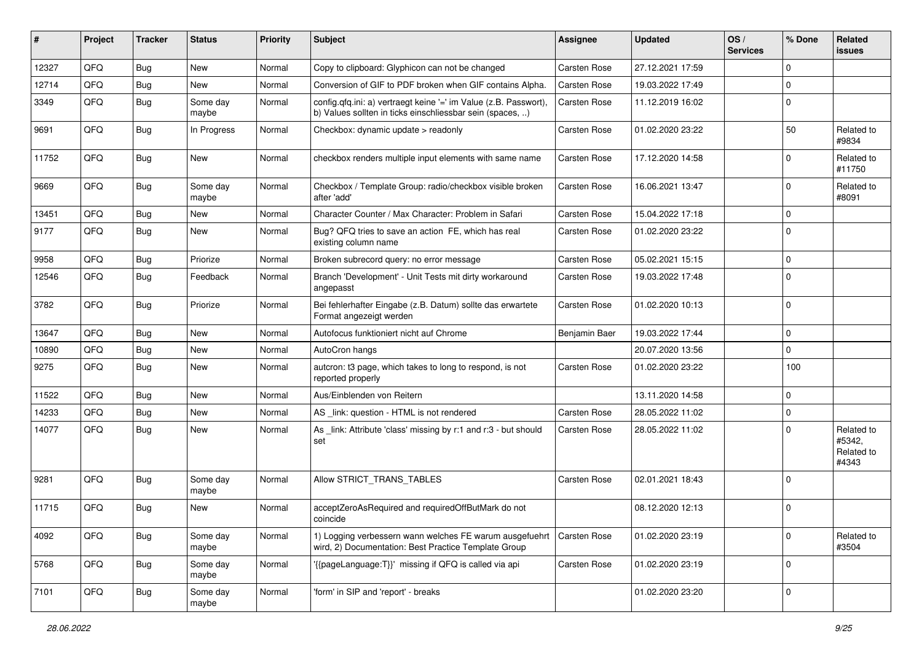| #     | Project | <b>Tracker</b> | <b>Status</b>     | <b>Priority</b> | Subject                                                                                                                       | <b>Assignee</b> | <b>Updated</b>   | OS/<br><b>Services</b> | % Done         | Related<br><b>issues</b>                    |
|-------|---------|----------------|-------------------|-----------------|-------------------------------------------------------------------------------------------------------------------------------|-----------------|------------------|------------------------|----------------|---------------------------------------------|
| 12327 | QFQ     | Bug            | <b>New</b>        | Normal          | Copy to clipboard: Glyphicon can not be changed                                                                               | Carsten Rose    | 27.12.2021 17:59 |                        | $\Omega$       |                                             |
| 12714 | QFQ     | Bug            | New               | Normal          | Conversion of GIF to PDF broken when GIF contains Alpha.                                                                      | Carsten Rose    | 19.03.2022 17:49 |                        | 0              |                                             |
| 3349  | QFQ     | <b>Bug</b>     | Some day<br>maybe | Normal          | config.qfq.ini: a) vertraegt keine '=' im Value (z.B. Passwort),<br>b) Values sollten in ticks einschliessbar sein (spaces, ) | Carsten Rose    | 11.12.2019 16:02 |                        | $\Omega$       |                                             |
| 9691  | QFQ     | <b>Bug</b>     | In Progress       | Normal          | Checkbox: dynamic update > readonly                                                                                           | Carsten Rose    | 01.02.2020 23:22 |                        | 50             | Related to<br>#9834                         |
| 11752 | QFQ     | <b>Bug</b>     | New               | Normal          | checkbox renders multiple input elements with same name                                                                       | Carsten Rose    | 17.12.2020 14:58 |                        | $\Omega$       | Related to<br>#11750                        |
| 9669  | QFQ     | Bug            | Some day<br>maybe | Normal          | Checkbox / Template Group: radio/checkbox visible broken<br>after 'add'                                                       | Carsten Rose    | 16.06.2021 13:47 |                        | $\mathbf 0$    | Related to<br>#8091                         |
| 13451 | QFQ     | <b>Bug</b>     | New               | Normal          | Character Counter / Max Character: Problem in Safari                                                                          | Carsten Rose    | 15.04.2022 17:18 |                        | $\Omega$       |                                             |
| 9177  | QFQ     | <b>Bug</b>     | New               | Normal          | Bug? QFQ tries to save an action FE, which has real<br>existing column name                                                   | Carsten Rose    | 01.02.2020 23:22 |                        | $\Omega$       |                                             |
| 9958  | QFQ     | <b>Bug</b>     | Priorize          | Normal          | Broken subrecord query: no error message                                                                                      | Carsten Rose    | 05.02.2021 15:15 |                        | $\Omega$       |                                             |
| 12546 | QFQ     | <b>Bug</b>     | Feedback          | Normal          | Branch 'Development' - Unit Tests mit dirty workaround<br>angepasst                                                           | Carsten Rose    | 19.03.2022 17:48 |                        | $\mathbf 0$    |                                             |
| 3782  | QFQ     | Bug            | Priorize          | Normal          | Bei fehlerhafter Eingabe (z.B. Datum) sollte das erwartete<br>Format angezeigt werden                                         | Carsten Rose    | 01.02.2020 10:13 |                        | $\mathbf 0$    |                                             |
| 13647 | QFQ     | <b>Bug</b>     | New               | Normal          | Autofocus funktioniert nicht auf Chrome                                                                                       | Benjamin Baer   | 19.03.2022 17:44 |                        | $\Omega$       |                                             |
| 10890 | QFQ     | <b>Bug</b>     | New               | Normal          | AutoCron hangs                                                                                                                |                 | 20.07.2020 13:56 |                        | $\Omega$       |                                             |
| 9275  | QFQ     | Bug            | New               | Normal          | autcron: t3 page, which takes to long to respond, is not<br>reported properly                                                 | Carsten Rose    | 01.02.2020 23:22 |                        | 100            |                                             |
| 11522 | QFQ     | <b>Bug</b>     | New               | Normal          | Aus/Einblenden von Reitern                                                                                                    |                 | 13.11.2020 14:58 |                        | $\Omega$       |                                             |
| 14233 | QFQ     | <b>Bug</b>     | New               | Normal          | AS _link: question - HTML is not rendered                                                                                     | Carsten Rose    | 28.05.2022 11:02 |                        | 0              |                                             |
| 14077 | QFQ     | <b>Bug</b>     | New               | Normal          | As _link: Attribute 'class' missing by r:1 and r:3 - but should<br>set                                                        | Carsten Rose    | 28.05.2022 11:02 |                        | $\mathbf 0$    | Related to<br>#5342,<br>Related to<br>#4343 |
| 9281  | QFQ     | <b>Bug</b>     | Some day<br>maybe | Normal          | Allow STRICT_TRANS_TABLES                                                                                                     | Carsten Rose    | 02.01.2021 18:43 |                        | $\Omega$       |                                             |
| 11715 | QFQ     | <b>Bug</b>     | New               | Normal          | acceptZeroAsRequired and requiredOffButMark do not<br>coincide                                                                |                 | 08.12.2020 12:13 |                        | $\Omega$       |                                             |
| 4092  | QFQ     | Bug            | Some day<br>maybe | Normal          | 1) Logging verbessern wann welches FE warum ausgefuehrt<br>wird, 2) Documentation: Best Practice Template Group               | Carsten Rose    | 01.02.2020 23:19 |                        | $\Omega$       | Related to<br>#3504                         |
| 5768  | QFQ     | Bug            | Some day<br>maybe | Normal          | '{{pageLanguage:T}}' missing if QFQ is called via api                                                                         | Carsten Rose    | 01.02.2020 23:19 |                        | $\mathbf 0$    |                                             |
| 7101  | QFG     | <b>Bug</b>     | Some day<br>maybe | Normal          | 'form' in SIP and 'report' - breaks                                                                                           |                 | 01.02.2020 23:20 |                        | $\overline{0}$ |                                             |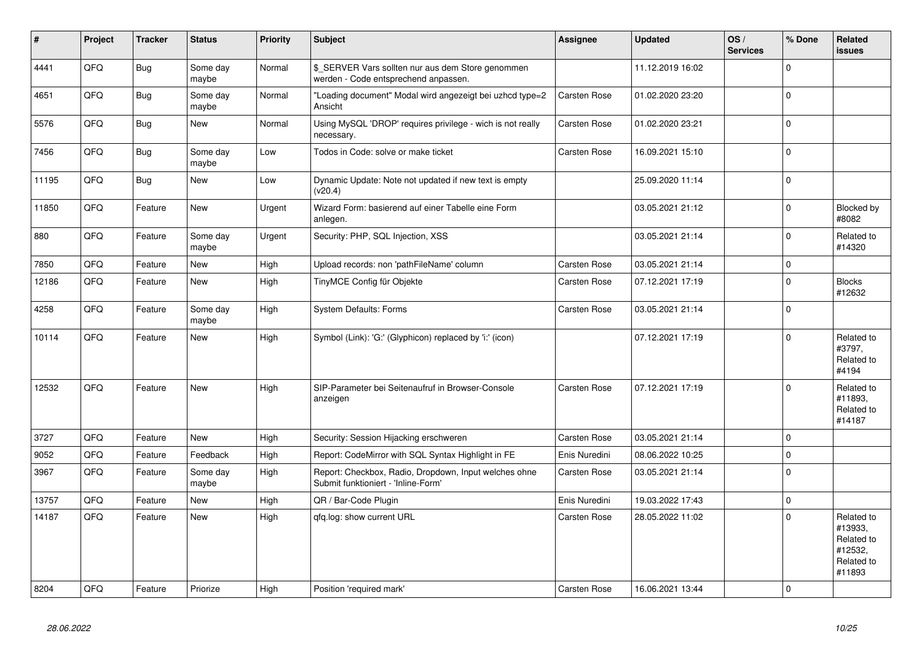| $\pmb{\sharp}$ | Project | <b>Tracker</b> | <b>Status</b>     | <b>Priority</b> | <b>Subject</b>                                                                               | <b>Assignee</b> | <b>Updated</b>   | OS/<br><b>Services</b> | % Done         | Related<br><b>issues</b>                                               |
|----------------|---------|----------------|-------------------|-----------------|----------------------------------------------------------------------------------------------|-----------------|------------------|------------------------|----------------|------------------------------------------------------------------------|
| 4441           | QFQ     | Bug            | Some day<br>maybe | Normal          | \$ SERVER Vars sollten nur aus dem Store genommen<br>werden - Code entsprechend anpassen.    |                 | 11.12.2019 16:02 |                        | $\Omega$       |                                                                        |
| 4651           | QFQ     | Bug            | Some day<br>maybe | Normal          | "Loading document" Modal wird angezeigt bei uzhcd type=2<br>Ansicht                          | Carsten Rose    | 01.02.2020 23:20 |                        | $\Omega$       |                                                                        |
| 5576           | QFQ     | Bug            | New               | Normal          | Using MySQL 'DROP' requires privilege - wich is not really<br>necessary.                     | Carsten Rose    | 01.02.2020 23:21 |                        | $\overline{0}$ |                                                                        |
| 7456           | QFQ     | <b>Bug</b>     | Some day<br>maybe | Low             | Todos in Code: solve or make ticket                                                          | Carsten Rose    | 16.09.2021 15:10 |                        | $\Omega$       |                                                                        |
| 11195          | QFQ     | Bug            | New               | Low             | Dynamic Update: Note not updated if new text is empty<br>(v20.4)                             |                 | 25.09.2020 11:14 |                        | $\mathbf{0}$   |                                                                        |
| 11850          | QFQ     | Feature        | New               | Urgent          | Wizard Form: basierend auf einer Tabelle eine Form<br>anlegen.                               |                 | 03.05.2021 21:12 |                        | $\Omega$       | Blocked by<br>#8082                                                    |
| 880            | QFQ     | Feature        | Some day<br>maybe | Urgent          | Security: PHP, SQL Injection, XSS                                                            |                 | 03.05.2021 21:14 |                        | $\Omega$       | Related to<br>#14320                                                   |
| 7850           | QFQ     | Feature        | <b>New</b>        | High            | Upload records: non 'pathFileName' column                                                    | Carsten Rose    | 03.05.2021 21:14 |                        | $\Omega$       |                                                                        |
| 12186          | QFQ     | Feature        | New               | High            | TinyMCE Config für Objekte                                                                   | Carsten Rose    | 07.12.2021 17:19 |                        | $\mathbf{0}$   | <b>Blocks</b><br>#12632                                                |
| 4258           | QFQ     | Feature        | Some day<br>maybe | High            | <b>System Defaults: Forms</b>                                                                | Carsten Rose    | 03.05.2021 21:14 |                        | $\Omega$       |                                                                        |
| 10114          | QFQ     | Feature        | <b>New</b>        | High            | Symbol (Link): 'G:' (Glyphicon) replaced by 'i:' (icon)                                      |                 | 07.12.2021 17:19 |                        | $\Omega$       | Related to<br>#3797,<br>Related to<br>#4194                            |
| 12532          | QFQ     | Feature        | New               | High            | SIP-Parameter bei Seitenaufruf in Browser-Console<br>anzeigen                                | Carsten Rose    | 07.12.2021 17:19 |                        | $\Omega$       | Related to<br>#11893,<br>Related to<br>#14187                          |
| 3727           | QFQ     | Feature        | <b>New</b>        | High            | Security: Session Hijacking erschweren                                                       | Carsten Rose    | 03.05.2021 21:14 |                        | $\overline{0}$ |                                                                        |
| 9052           | QFQ     | Feature        | Feedback          | High            | Report: CodeMirror with SQL Syntax Highlight in FE                                           | Enis Nuredini   | 08.06.2022 10:25 |                        | $\mathbf{0}$   |                                                                        |
| 3967           | QFQ     | Feature        | Some day<br>maybe | High            | Report: Checkbox, Radio, Dropdown, Input welches ohne<br>Submit funktioniert - 'Inline-Form' | Carsten Rose    | 03.05.2021 21:14 |                        | $\overline{0}$ |                                                                        |
| 13757          | QFQ     | Feature        | <b>New</b>        | High            | QR / Bar-Code Plugin                                                                         | Enis Nuredini   | 19.03.2022 17:43 |                        | $\Omega$       |                                                                        |
| 14187          | QFQ     | Feature        | New               | High            | gfg.log: show current URL                                                                    | Carsten Rose    | 28.05.2022 11:02 |                        | $\mathbf{0}$   | Related to<br>#13933.<br>Related to<br>#12532,<br>Related to<br>#11893 |
| 8204           | QFQ     | Feature        | Priorize          | High            | Position 'required mark'                                                                     | Carsten Rose    | 16.06.2021 13:44 |                        | $\overline{0}$ |                                                                        |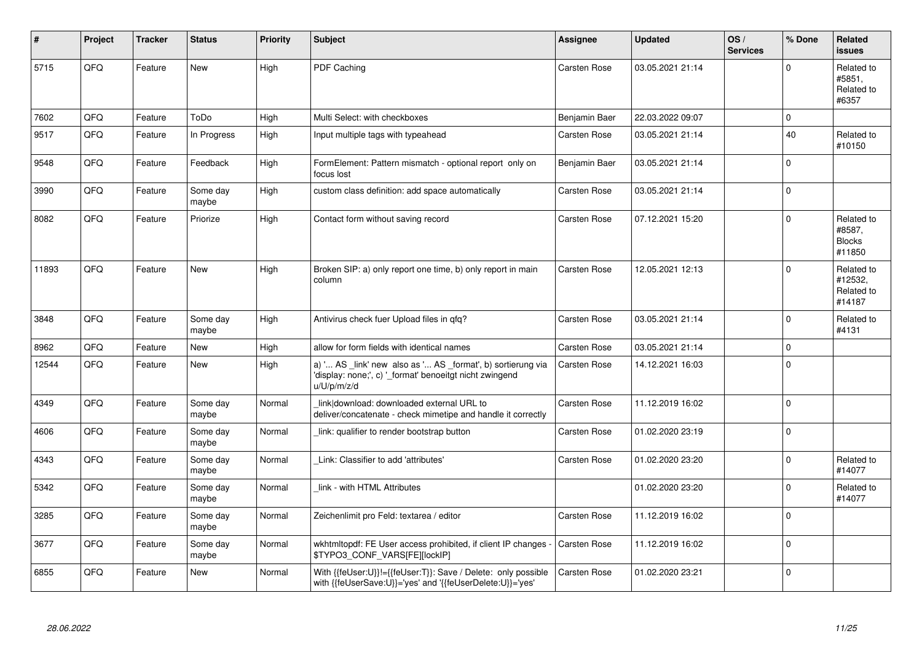| #     | Project | <b>Tracker</b> | <b>Status</b>     | <b>Priority</b> | <b>Subject</b>                                                                                                                        | Assignee      | <b>Updated</b>   | OS/<br><b>Services</b> | % Done       | Related<br><b>issues</b>                        |
|-------|---------|----------------|-------------------|-----------------|---------------------------------------------------------------------------------------------------------------------------------------|---------------|------------------|------------------------|--------------|-------------------------------------------------|
| 5715  | QFQ     | Feature        | <b>New</b>        | High            | PDF Caching                                                                                                                           | Carsten Rose  | 03.05.2021 21:14 |                        | $\Omega$     | Related to<br>#5851,<br>Related to<br>#6357     |
| 7602  | QFQ     | Feature        | ToDo              | High            | Multi Select: with checkboxes                                                                                                         | Benjamin Baer | 22.03.2022 09:07 |                        | $\mathbf 0$  |                                                 |
| 9517  | QFQ     | Feature        | In Progress       | High            | Input multiple tags with typeahead                                                                                                    | Carsten Rose  | 03.05.2021 21:14 |                        | 40           | Related to<br>#10150                            |
| 9548  | QFQ     | Feature        | Feedback          | High            | FormElement: Pattern mismatch - optional report only on<br>focus lost                                                                 | Benjamin Baer | 03.05.2021 21:14 |                        | $\mathbf{0}$ |                                                 |
| 3990  | QFQ     | Feature        | Some day<br>maybe | High            | custom class definition: add space automatically                                                                                      | Carsten Rose  | 03.05.2021 21:14 |                        | $\mathbf{0}$ |                                                 |
| 8082  | QFQ     | Feature        | Priorize          | High            | Contact form without saving record                                                                                                    | Carsten Rose  | 07.12.2021 15:20 |                        | $\Omega$     | Related to<br>#8587,<br><b>Blocks</b><br>#11850 |
| 11893 | QFQ     | Feature        | <b>New</b>        | High            | Broken SIP: a) only report one time, b) only report in main<br>column                                                                 | Carsten Rose  | 12.05.2021 12:13 |                        | $\Omega$     | Related to<br>#12532,<br>Related to<br>#14187   |
| 3848  | QFQ     | Feature        | Some day<br>maybe | High            | Antivirus check fuer Upload files in qfq?                                                                                             | Carsten Rose  | 03.05.2021 21:14 |                        | $\mathbf 0$  | Related to<br>#4131                             |
| 8962  | QFQ     | Feature        | <b>New</b>        | High            | allow for form fields with identical names                                                                                            | Carsten Rose  | 03.05.2021 21:14 |                        | $\mathbf 0$  |                                                 |
| 12544 | QFQ     | Feature        | <b>New</b>        | High            | a) ' AS _link' new also as ' AS _format', b) sortierung via<br>'display: none;', c) ' format' benoeitgt nicht zwingend<br>u/U/p/m/z/d | Carsten Rose  | 14.12.2021 16:03 |                        | $\mathbf 0$  |                                                 |
| 4349  | QFQ     | Feature        | Some day<br>maybe | Normal          | link download: downloaded external URL to<br>deliver/concatenate - check mimetipe and handle it correctly                             | Carsten Rose  | 11.12.2019 16:02 |                        | $\mathbf{0}$ |                                                 |
| 4606  | QFQ     | Feature        | Some day<br>maybe | Normal          | link: qualifier to render bootstrap button                                                                                            | Carsten Rose  | 01.02.2020 23:19 |                        | $\mathbf{0}$ |                                                 |
| 4343  | QFQ     | Feature        | Some day<br>maybe | Normal          | Link: Classifier to add 'attributes'                                                                                                  | Carsten Rose  | 01.02.2020 23:20 |                        | $\Omega$     | Related to<br>#14077                            |
| 5342  | QFQ     | Feature        | Some day<br>maybe | Normal          | link - with HTML Attributes                                                                                                           |               | 01.02.2020 23:20 |                        | $\mathbf 0$  | Related to<br>#14077                            |
| 3285  | QFQ     | Feature        | Some day<br>maybe | Normal          | Zeichenlimit pro Feld: textarea / editor                                                                                              | Carsten Rose  | 11.12.2019 16:02 |                        | $\mathbf 0$  |                                                 |
| 3677  | QFQ     | Feature        | Some day<br>maybe | Normal          | wkhtmitopdf: FE User access prohibited, if client IP changes -<br>\$TYPO3_CONF_VARS[FE][lockIP]                                       | Carsten Rose  | 11.12.2019 16:02 |                        | $\mathbf{0}$ |                                                 |
| 6855  | QFQ     | Feature        | <b>New</b>        | Normal          | With {{feUser:U}}!={{feUser:T}}: Save / Delete: only possible<br>with {{feUserSave:U}}='yes' and '{{feUserDelete:U}}='yes'            | Carsten Rose  | 01.02.2020 23:21 |                        | $\mathbf 0$  |                                                 |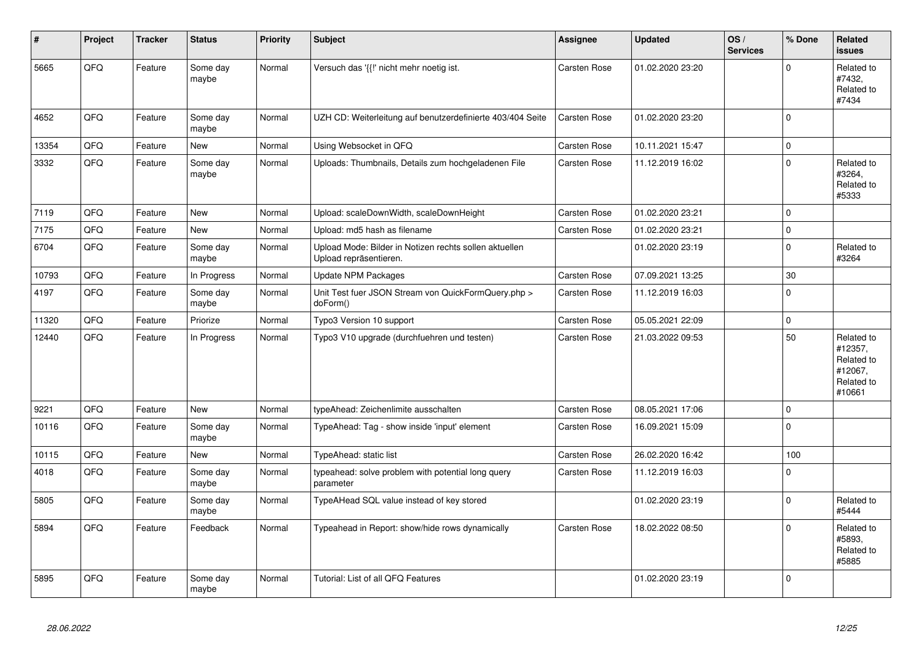| #     | Project | <b>Tracker</b> | <b>Status</b>     | <b>Priority</b> | <b>Subject</b>                                                                   | Assignee     | <b>Updated</b>   | OS/<br><b>Services</b> | % Done       | Related<br><b>issues</b>                                               |
|-------|---------|----------------|-------------------|-----------------|----------------------------------------------------------------------------------|--------------|------------------|------------------------|--------------|------------------------------------------------------------------------|
| 5665  | QFQ     | Feature        | Some day<br>maybe | Normal          | Versuch das '{{!' nicht mehr noetig ist.                                         | Carsten Rose | 01.02.2020 23:20 |                        | $\Omega$     | Related to<br>#7432,<br>Related to<br>#7434                            |
| 4652  | QFQ     | Feature        | Some day<br>maybe | Normal          | UZH CD: Weiterleitung auf benutzerdefinierte 403/404 Seite                       | Carsten Rose | 01.02.2020 23:20 |                        | $\mathbf 0$  |                                                                        |
| 13354 | QFQ     | Feature        | New               | Normal          | Using Websocket in QFQ                                                           | Carsten Rose | 10.11.2021 15:47 |                        | $\mathbf 0$  |                                                                        |
| 3332  | QFQ     | Feature        | Some day<br>maybe | Normal          | Uploads: Thumbnails, Details zum hochgeladenen File                              | Carsten Rose | 11.12.2019 16:02 |                        | $\mathbf 0$  | Related to<br>#3264,<br>Related to<br>#5333                            |
| 7119  | QFQ     | Feature        | <b>New</b>        | Normal          | Upload: scaleDownWidth, scaleDownHeight                                          | Carsten Rose | 01.02.2020 23:21 |                        | $\mathbf 0$  |                                                                        |
| 7175  | QFQ     | Feature        | New               | Normal          | Upload: md5 hash as filename                                                     | Carsten Rose | 01.02.2020 23:21 |                        | $\mathbf 0$  |                                                                        |
| 6704  | QFQ     | Feature        | Some day<br>maybe | Normal          | Upload Mode: Bilder in Notizen rechts sollen aktuellen<br>Upload repräsentieren. |              | 01.02.2020 23:19 |                        | $\Omega$     | Related to<br>#3264                                                    |
| 10793 | QFQ     | Feature        | In Progress       | Normal          | <b>Update NPM Packages</b>                                                       | Carsten Rose | 07.09.2021 13:25 |                        | 30           |                                                                        |
| 4197  | QFQ     | Feature        | Some day<br>maybe | Normal          | Unit Test fuer JSON Stream von QuickFormQuery.php ><br>doForm()                  | Carsten Rose | 11.12.2019 16:03 |                        | $\mathbf 0$  |                                                                        |
| 11320 | QFQ     | Feature        | Priorize          | Normal          | Typo3 Version 10 support                                                         | Carsten Rose | 05.05.2021 22:09 |                        | $\mathbf{0}$ |                                                                        |
| 12440 | QFQ     | Feature        | In Progress       | Normal          | Typo3 V10 upgrade (durchfuehren und testen)                                      | Carsten Rose | 21.03.2022 09:53 |                        | 50           | Related to<br>#12357,<br>Related to<br>#12067.<br>Related to<br>#10661 |
| 9221  | QFQ     | Feature        | <b>New</b>        | Normal          | typeAhead: Zeichenlimite ausschalten                                             | Carsten Rose | 08.05.2021 17:06 |                        | $\mathbf{0}$ |                                                                        |
| 10116 | QFQ     | Feature        | Some day<br>maybe | Normal          | TypeAhead: Tag - show inside 'input' element                                     | Carsten Rose | 16.09.2021 15:09 |                        | $\Omega$     |                                                                        |
| 10115 | QFQ     | Feature        | <b>New</b>        | Normal          | TypeAhead: static list                                                           | Carsten Rose | 26.02.2020 16:42 |                        | 100          |                                                                        |
| 4018  | QFQ     | Feature        | Some day<br>maybe | Normal          | typeahead: solve problem with potential long query<br>parameter                  | Carsten Rose | 11.12.2019 16:03 |                        | $\mathbf 0$  |                                                                        |
| 5805  | QFQ     | Feature        | Some day<br>maybe | Normal          | TypeAHead SQL value instead of key stored                                        |              | 01.02.2020 23:19 |                        | $\mathbf 0$  | Related to<br>#5444                                                    |
| 5894  | QFQ     | Feature        | Feedback          | Normal          | Typeahead in Report: show/hide rows dynamically                                  | Carsten Rose | 18.02.2022 08:50 |                        | $\mathbf 0$  | Related to<br>#5893,<br>Related to<br>#5885                            |
| 5895  | QFQ     | Feature        | Some day<br>maybe | Normal          | Tutorial: List of all QFQ Features                                               |              | 01.02.2020 23:19 |                        | $\mathbf 0$  |                                                                        |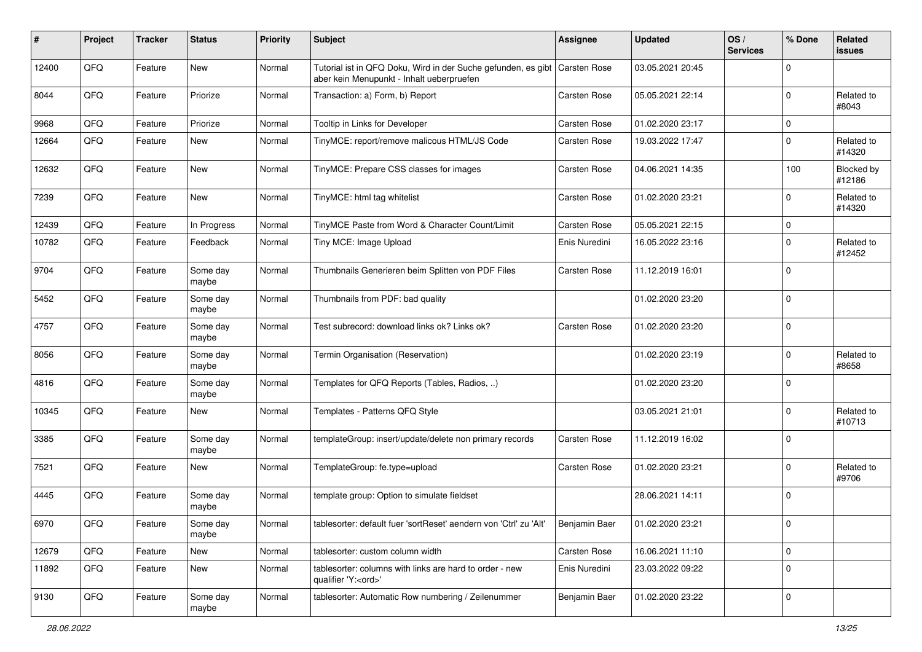| ∦     | Project | <b>Tracker</b> | <b>Status</b>     | <b>Priority</b> | <b>Subject</b>                                                                                             | <b>Assignee</b>     | <b>Updated</b>   | OS/<br><b>Services</b> | % Done         | Related<br><b>issues</b> |
|-------|---------|----------------|-------------------|-----------------|------------------------------------------------------------------------------------------------------------|---------------------|------------------|------------------------|----------------|--------------------------|
| 12400 | QFQ     | Feature        | <b>New</b>        | Normal          | Tutorial ist in QFQ Doku, Wird in der Suche gefunden, es gibt<br>aber kein Menupunkt - Inhalt ueberpruefen | <b>Carsten Rose</b> | 03.05.2021 20:45 |                        | $\Omega$       |                          |
| 8044  | QFQ     | Feature        | Priorize          | Normal          | Transaction: a) Form, b) Report                                                                            | Carsten Rose        | 05.05.2021 22:14 |                        | $\Omega$       | Related to<br>#8043      |
| 9968  | QFQ     | Feature        | Priorize          | Normal          | Tooltip in Links for Developer                                                                             | Carsten Rose        | 01.02.2020 23:17 |                        | $\mathbf{0}$   |                          |
| 12664 | QFQ     | Feature        | <b>New</b>        | Normal          | TinyMCE: report/remove malicous HTML/JS Code                                                               | Carsten Rose        | 19.03.2022 17:47 |                        | $\mathbf 0$    | Related to<br>#14320     |
| 12632 | QFQ     | Feature        | <b>New</b>        | Normal          | TinyMCE: Prepare CSS classes for images                                                                    | Carsten Rose        | 04.06.2021 14:35 |                        | 100            | Blocked by<br>#12186     |
| 7239  | QFQ     | Feature        | New               | Normal          | TinyMCE: html tag whitelist                                                                                | Carsten Rose        | 01.02.2020 23:21 |                        | $\Omega$       | Related to<br>#14320     |
| 12439 | QFQ     | Feature        | In Progress       | Normal          | TinyMCE Paste from Word & Character Count/Limit                                                            | Carsten Rose        | 05.05.2021 22:15 |                        | $\mathbf 0$    |                          |
| 10782 | QFQ     | Feature        | Feedback          | Normal          | Tiny MCE: Image Upload                                                                                     | Enis Nuredini       | 16.05.2022 23:16 |                        | $\Omega$       | Related to<br>#12452     |
| 9704  | QFQ     | Feature        | Some day<br>maybe | Normal          | Thumbnails Generieren beim Splitten von PDF Files                                                          | Carsten Rose        | 11.12.2019 16:01 |                        | $\Omega$       |                          |
| 5452  | QFQ     | Feature        | Some day<br>maybe | Normal          | Thumbnails from PDF: bad quality                                                                           |                     | 01.02.2020 23:20 |                        | $\Omega$       |                          |
| 4757  | QFQ     | Feature        | Some day<br>maybe | Normal          | Test subrecord: download links ok? Links ok?                                                               | Carsten Rose        | 01.02.2020 23:20 |                        | $\Omega$       |                          |
| 8056  | QFQ     | Feature        | Some day<br>maybe | Normal          | Termin Organisation (Reservation)                                                                          |                     | 01.02.2020 23:19 |                        | $\Omega$       | Related to<br>#8658      |
| 4816  | QFQ     | Feature        | Some day<br>maybe | Normal          | Templates for QFQ Reports (Tables, Radios, )                                                               |                     | 01.02.2020 23:20 |                        | $\overline{0}$ |                          |
| 10345 | QFQ     | Feature        | <b>New</b>        | Normal          | Templates - Patterns QFQ Style                                                                             |                     | 03.05.2021 21:01 |                        | $\Omega$       | Related to<br>#10713     |
| 3385  | QFQ     | Feature        | Some day<br>maybe | Normal          | templateGroup: insert/update/delete non primary records                                                    | Carsten Rose        | 11.12.2019 16:02 |                        | $\Omega$       |                          |
| 7521  | QFQ     | Feature        | <b>New</b>        | Normal          | TemplateGroup: fe.type=upload                                                                              | Carsten Rose        | 01.02.2020 23:21 |                        | $\Omega$       | Related to<br>#9706      |
| 4445  | QFQ     | Feature        | Some day<br>maybe | Normal          | template group: Option to simulate fieldset                                                                |                     | 28.06.2021 14:11 |                        | $\overline{0}$ |                          |
| 6970  | QFQ     | Feature        | Some day<br>maybe | Normal          | tablesorter: default fuer 'sortReset' aendern von 'Ctrl' zu 'Alt'                                          | Benjamin Baer       | 01.02.2020 23:21 |                        | <b>O</b>       |                          |
| 12679 | QFQ     | Feature        | New               | Normal          | tablesorter: custom column width                                                                           | Carsten Rose        | 16.06.2021 11:10 |                        | $\mathbf 0$    |                          |
| 11892 | QFQ     | Feature        | New               | Normal          | tablesorter: columns with links are hard to order - new<br>qualifier 'Y: <ord>'</ord>                      | Enis Nuredini       | 23.03.2022 09:22 |                        | $\Omega$       |                          |
| 9130  | QFQ     | Feature        | Some day<br>maybe | Normal          | tablesorter: Automatic Row numbering / Zeilenummer                                                         | Benjamin Baer       | 01.02.2020 23:22 |                        | $\overline{0}$ |                          |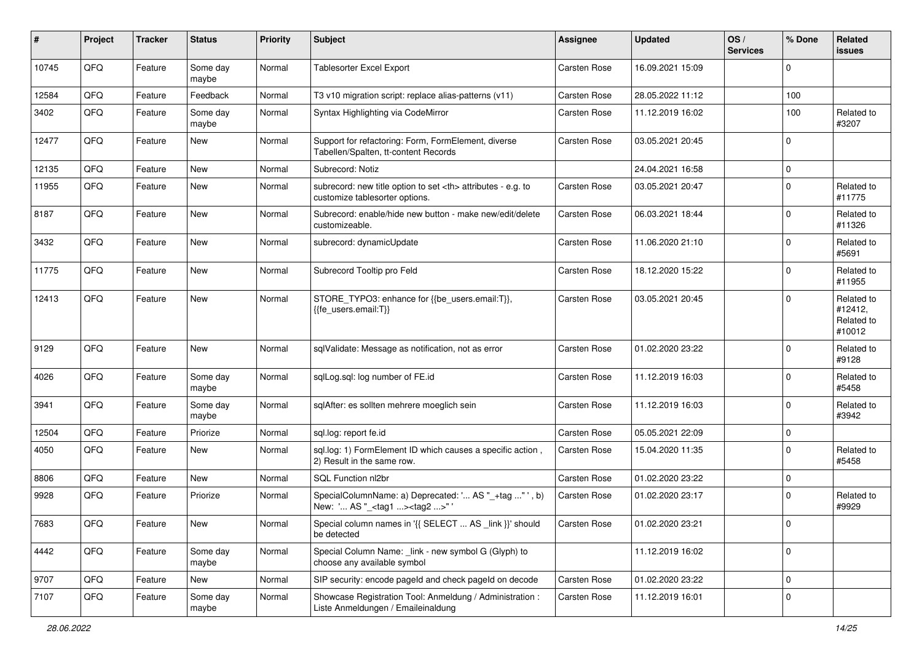| #     | Project | <b>Tracker</b> | <b>Status</b>     | <b>Priority</b> | <b>Subject</b>                                                                                       | Assignee                                               | <b>Updated</b>   | OS/<br><b>Services</b> | % Done      | Related<br><b>issues</b>                      |                      |
|-------|---------|----------------|-------------------|-----------------|------------------------------------------------------------------------------------------------------|--------------------------------------------------------|------------------|------------------------|-------------|-----------------------------------------------|----------------------|
| 10745 | QFQ     | Feature        | Some day<br>maybe | Normal          | <b>Tablesorter Excel Export</b>                                                                      | <b>Carsten Rose</b>                                    | 16.09.2021 15:09 |                        | $\Omega$    |                                               |                      |
| 12584 | QFQ     | Feature        | Feedback          | Normal          | T3 v10 migration script: replace alias-patterns (v11)                                                | Carsten Rose                                           | 28.05.2022 11:12 |                        | 100         |                                               |                      |
| 3402  | QFQ     | Feature        | Some day<br>maybe | Normal          | Syntax Highlighting via CodeMirror                                                                   | Carsten Rose                                           | 11.12.2019 16:02 |                        | 100         | Related to<br>#3207                           |                      |
| 12477 | QFQ     | Feature        | New               | Normal          | Support for refactoring: Form, FormElement, diverse<br>Tabellen/Spalten, tt-content Records          | Carsten Rose                                           | 03.05.2021 20:45 |                        | $\Omega$    |                                               |                      |
| 12135 | QFQ     | Feature        | <b>New</b>        | Normal          | Subrecord: Notiz                                                                                     |                                                        | 24.04.2021 16:58 |                        | $\Omega$    |                                               |                      |
| 11955 | QFQ     | Feature        | New               | Normal          | subrecord: new title option to set <th> attributes - e.g. to<br/>customize tablesorter options.</th> | attributes - e.g. to<br>customize tablesorter options. | Carsten Rose     | 03.05.2021 20:47       |             | $\mathbf 0$                                   | Related to<br>#11775 |
| 8187  | QFQ     | Feature        | New               | Normal          | Subrecord: enable/hide new button - make new/edit/delete<br>customizeable.                           | Carsten Rose                                           | 06.03.2021 18:44 |                        | $\mathbf 0$ | Related to<br>#11326                          |                      |
| 3432  | QFQ     | Feature        | New               | Normal          | subrecord: dynamicUpdate                                                                             | Carsten Rose                                           | 11.06.2020 21:10 |                        | $\mathbf 0$ | Related to<br>#5691                           |                      |
| 11775 | QFQ     | Feature        | <b>New</b>        | Normal          | Subrecord Tooltip pro Feld                                                                           | Carsten Rose                                           | 18.12.2020 15:22 |                        | $\mathbf 0$ | Related to<br>#11955                          |                      |
| 12413 | QFQ     | Feature        | New               | Normal          | STORE_TYPO3: enhance for {{be_users.email:T}},<br>{{fe users.email:T}}                               | Carsten Rose                                           | 03.05.2021 20:45 |                        | $\Omega$    | Related to<br>#12412,<br>Related to<br>#10012 |                      |
| 9129  | QFQ     | Feature        | New               | Normal          | sqlValidate: Message as notification, not as error                                                   | Carsten Rose                                           | 01.02.2020 23:22 |                        | $\mathbf 0$ | Related to<br>#9128                           |                      |
| 4026  | QFQ     | Feature        | Some day<br>maybe | Normal          | sqlLog.sql: log number of FE.id                                                                      | Carsten Rose                                           | 11.12.2019 16:03 |                        | $\mathbf 0$ | Related to<br>#5458                           |                      |
| 3941  | QFQ     | Feature        | Some day<br>maybe | Normal          | sqlAfter: es sollten mehrere moeglich sein                                                           | Carsten Rose                                           | 11.12.2019 16:03 |                        | $\Omega$    | Related to<br>#3942                           |                      |
| 12504 | QFQ     | Feature        | Priorize          | Normal          | sql.log: report fe.id                                                                                | Carsten Rose                                           | 05.05.2021 22:09 |                        | $\mathbf 0$ |                                               |                      |
| 4050  | QFQ     | Feature        | New               | Normal          | sql.log: 1) FormElement ID which causes a specific action,<br>2) Result in the same row.             | Carsten Rose                                           | 15.04.2020 11:35 |                        | $\mathbf 0$ | Related to<br>#5458                           |                      |
| 8806  | QFQ     | Feature        | New               | Normal          | SQL Function nl2br                                                                                   | Carsten Rose                                           | 01.02.2020 23:22 |                        | $\mathbf 0$ |                                               |                      |
| 9928  | QFQ     | Feature        | Priorize          | Normal          | SpecialColumnName: a) Deprecated: ' AS "_+tag " ', b)<br>New: ' AS "_ <tag1><tag2>"'</tag2></tag1>   | Carsten Rose                                           | 01.02.2020 23:17 |                        | $\mathbf 0$ | Related to<br>#9929                           |                      |
| 7683  | QFQ     | Feature        | New               | Normal          | Special column names in '{{ SELECT  AS _link }}' should<br>be detected                               | Carsten Rose                                           | 01.02.2020 23:21 |                        | $\mathbf 0$ |                                               |                      |
| 4442  | QFQ     | Feature        | Some day<br>maybe | Normal          | Special Column Name: link - new symbol G (Glyph) to<br>choose any available symbol                   |                                                        | 11.12.2019 16:02 |                        | $\mathbf 0$ |                                               |                      |
| 9707  | QFQ     | Feature        | New               | Normal          | SIP security: encode pageld and check pageld on decode                                               | Carsten Rose                                           | 01.02.2020 23:22 |                        | $\mathbf 0$ |                                               |                      |
| 7107  | QFQ     | Feature        | Some day<br>maybe | Normal          | Showcase Registration Tool: Anmeldung / Administration :<br>Liste Anmeldungen / Emaileinaldung       | Carsten Rose                                           | 11.12.2019 16:01 |                        | $\mathbf 0$ |                                               |                      |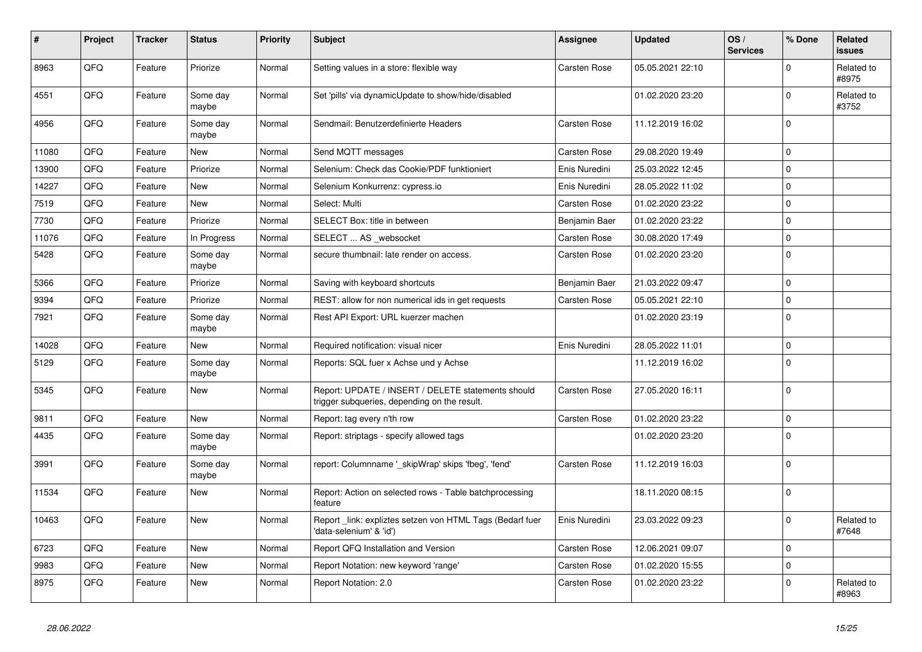| #     | Project    | <b>Tracker</b> | <b>Status</b>     | <b>Priority</b> | <b>Subject</b>                                                                                     | Assignee            | <b>Updated</b>   | OS/<br><b>Services</b> | % Done         | Related<br><b>issues</b> |
|-------|------------|----------------|-------------------|-----------------|----------------------------------------------------------------------------------------------------|---------------------|------------------|------------------------|----------------|--------------------------|
| 8963  | QFQ        | Feature        | Priorize          | Normal          | Setting values in a store: flexible way                                                            | Carsten Rose        | 05.05.2021 22:10 |                        | $\Omega$       | Related to<br>#8975      |
| 4551  | QFQ        | Feature        | Some day<br>maybe | Normal          | Set 'pills' via dynamicUpdate to show/hide/disabled                                                |                     | 01.02.2020 23:20 |                        | $\Omega$       | Related to<br>#3752      |
| 4956  | QFQ        | Feature        | Some day<br>maybe | Normal          | Sendmail: Benutzerdefinierte Headers                                                               | Carsten Rose        | 11.12.2019 16:02 |                        | $\Omega$       |                          |
| 11080 | QFQ        | Feature        | New               | Normal          | Send MQTT messages                                                                                 | Carsten Rose        | 29.08.2020 19:49 |                        | $\overline{0}$ |                          |
| 13900 | QFQ        | Feature        | Priorize          | Normal          | Selenium: Check das Cookie/PDF funktioniert                                                        | Enis Nuredini       | 25.03.2022 12:45 |                        | $\Omega$       |                          |
| 14227 | QFQ        | Feature        | <b>New</b>        | Normal          | Selenium Konkurrenz: cypress.io                                                                    | Enis Nuredini       | 28.05.2022 11:02 |                        | $\mathbf{0}$   |                          |
| 7519  | QFQ        | Feature        | <b>New</b>        | Normal          | Select: Multi                                                                                      | Carsten Rose        | 01.02.2020 23:22 |                        | $\mathbf{0}$   |                          |
| 7730  | QFQ        | Feature        | Priorize          | Normal          | SELECT Box: title in between                                                                       | Benjamin Baer       | 01.02.2020 23:22 |                        | $\Omega$       |                          |
| 11076 | QFQ        | Feature        | In Progress       | Normal          | SELECT  AS _websocket                                                                              | Carsten Rose        | 30.08.2020 17:49 |                        | $\mathbf 0$    |                          |
| 5428  | QFQ        | Feature        | Some day<br>maybe | Normal          | secure thumbnail: late render on access.                                                           | Carsten Rose        | 01.02.2020 23:20 |                        | $\overline{0}$ |                          |
| 5366  | QFQ        | Feature        | Priorize          | Normal          | Saving with keyboard shortcuts                                                                     | Benjamin Baer       | 21.03.2022 09:47 |                        | $\Omega$       |                          |
| 9394  | QFQ        | Feature        | Priorize          | Normal          | REST: allow for non numerical ids in get requests                                                  | Carsten Rose        | 05.05.2021 22:10 |                        | $\mathbf 0$    |                          |
| 7921  | QFQ        | Feature        | Some day<br>maybe | Normal          | Rest API Export: URL kuerzer machen                                                                |                     | 01.02.2020 23:19 |                        | $\Omega$       |                          |
| 14028 | QFQ        | Feature        | New               | Normal          | Required notification: visual nicer                                                                | Enis Nuredini       | 28.05.2022 11:01 |                        | $\mathbf{0}$   |                          |
| 5129  | QFQ        | Feature        | Some day<br>maybe | Normal          | Reports: SQL fuer x Achse und y Achse                                                              |                     | 11.12.2019 16:02 |                        | $\Omega$       |                          |
| 5345  | QFQ        | Feature        | <b>New</b>        | Normal          | Report: UPDATE / INSERT / DELETE statements should<br>trigger subqueries, depending on the result. | Carsten Rose        | 27.05.2020 16:11 |                        | $\Omega$       |                          |
| 9811  | QFQ        | Feature        | <b>New</b>        | Normal          | Report: tag every n'th row                                                                         | Carsten Rose        | 01.02.2020 23:22 |                        | $\mathbf 0$    |                          |
| 4435  | <b>OFO</b> | Feature        | Some day<br>maybe | Normal          | Report: striptags - specify allowed tags                                                           |                     | 01.02.2020 23:20 |                        | $\Omega$       |                          |
| 3991  | QFQ        | Feature        | Some day<br>maybe | Normal          | report: Columnname ' skipWrap' skips 'fbeg', 'fend'                                                | Carsten Rose        | 11.12.2019 16:03 |                        | $\Omega$       |                          |
| 11534 | QFQ        | Feature        | <b>New</b>        | Normal          | Report: Action on selected rows - Table batchprocessing<br>feature                                 |                     | 18.11.2020 08:15 |                        | $\Omega$       |                          |
| 10463 | QFQ        | Feature        | <b>New</b>        | Normal          | Report _link: expliztes setzen von HTML Tags (Bedarf fuer<br>'data-selenium' & 'id')               | Enis Nuredini       | 23.03.2022 09:23 |                        | $\Omega$       | Related to<br>#7648      |
| 6723  | QFQ        | Feature        | <b>New</b>        | Normal          | Report QFQ Installation and Version                                                                | Carsten Rose        | 12.06.2021 09:07 |                        | $\overline{0}$ |                          |
| 9983  | QFQ        | Feature        | <b>New</b>        | Normal          | Report Notation: new keyword 'range'                                                               | <b>Carsten Rose</b> | 01.02.2020 15:55 |                        | $\Omega$       |                          |
| 8975  | QFQ        | Feature        | <b>New</b>        | Normal          | Report Notation: 2.0                                                                               | Carsten Rose        | 01.02.2020 23:22 |                        | $\Omega$       | Related to<br>#8963      |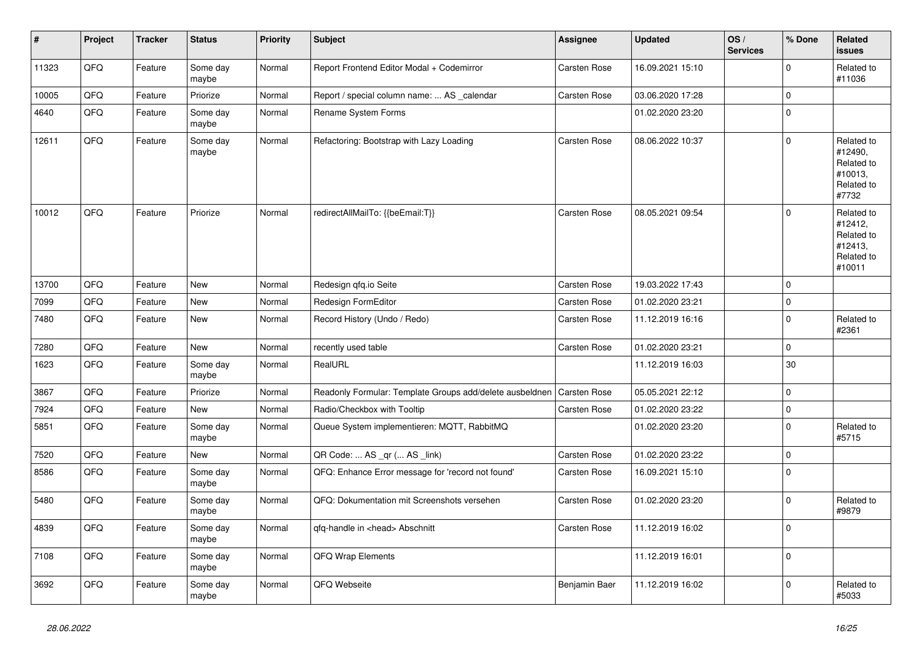| $\vert$ # | Project | <b>Tracker</b> | <b>Status</b>     | <b>Priority</b> | <b>Subject</b>                                           | <b>Assignee</b>     | <b>Updated</b>   | OS/<br><b>Services</b> | % Done      | Related<br>issues                                                      |
|-----------|---------|----------------|-------------------|-----------------|----------------------------------------------------------|---------------------|------------------|------------------------|-------------|------------------------------------------------------------------------|
| 11323     | QFQ     | Feature        | Some day<br>maybe | Normal          | Report Frontend Editor Modal + Codemirror                | Carsten Rose        | 16.09.2021 15:10 |                        | $\Omega$    | Related to<br>#11036                                                   |
| 10005     | QFQ     | Feature        | Priorize          | Normal          | Report / special column name:  AS _calendar              | Carsten Rose        | 03.06.2020 17:28 |                        | $\mathbf 0$ |                                                                        |
| 4640      | QFQ     | Feature        | Some day<br>maybe | Normal          | <b>Rename System Forms</b>                               |                     | 01.02.2020 23:20 |                        | $\mathbf 0$ |                                                                        |
| 12611     | QFQ     | Feature        | Some day<br>maybe | Normal          | Refactoring: Bootstrap with Lazy Loading                 | Carsten Rose        | 08.06.2022 10:37 |                        | $\pmb{0}$   | Related to<br>#12490,<br>Related to<br>#10013,<br>Related to<br>#7732  |
| 10012     | QFQ     | Feature        | Priorize          | Normal          | redirectAllMailTo: {{beEmail:T}}                         | <b>Carsten Rose</b> | 08.05.2021 09:54 |                        | $\Omega$    | Related to<br>#12412,<br>Related to<br>#12413,<br>Related to<br>#10011 |
| 13700     | QFQ     | Feature        | New               | Normal          | Redesign qfq.io Seite                                    | Carsten Rose        | 19.03.2022 17:43 |                        | $\mathbf 0$ |                                                                        |
| 7099      | QFQ     | Feature        | New               | Normal          | Redesign FormEditor                                      | Carsten Rose        | 01.02.2020 23:21 |                        | $\mathbf 0$ |                                                                        |
| 7480      | QFQ     | Feature        | New               | Normal          | Record History (Undo / Redo)                             | Carsten Rose        | 11.12.2019 16:16 |                        | $\pmb{0}$   | Related to<br>#2361                                                    |
| 7280      | QFQ     | Feature        | New               | Normal          | recently used table                                      | Carsten Rose        | 01.02.2020 23:21 |                        | $\mathsf 0$ |                                                                        |
| 1623      | QFQ     | Feature        | Some day<br>maybe | Normal          | RealURL                                                  |                     | 11.12.2019 16:03 |                        | 30          |                                                                        |
| 3867      | QFQ     | Feature        | Priorize          | Normal          | Readonly Formular: Template Groups add/delete ausbeldnen | Carsten Rose        | 05.05.2021 22:12 |                        | $\mathbf 0$ |                                                                        |
| 7924      | QFQ     | Feature        | <b>New</b>        | Normal          | Radio/Checkbox with Tooltip                              | Carsten Rose        | 01.02.2020 23:22 |                        | $\mathbf 0$ |                                                                        |
| 5851      | QFQ     | Feature        | Some day<br>maybe | Normal          | Queue System implementieren: MQTT, RabbitMQ              |                     | 01.02.2020 23:20 |                        | $\mathbf 0$ | Related to<br>#5715                                                    |
| 7520      | QFQ     | Feature        | <b>New</b>        | Normal          | QR Code:  AS _qr ( AS _link)                             | Carsten Rose        | 01.02.2020 23:22 |                        | $\mathbf 0$ |                                                                        |
| 8586      | QFQ     | Feature        | Some day<br>maybe | Normal          | QFQ: Enhance Error message for 'record not found'        | Carsten Rose        | 16.09.2021 15:10 |                        | $\mathbf 0$ |                                                                        |
| 5480      | QFQ     | Feature        | Some day<br>maybe | Normal          | QFQ: Dokumentation mit Screenshots versehen              | Carsten Rose        | 01.02.2020 23:20 |                        | $\mathbf 0$ | Related to<br>#9879                                                    |
| 4839      | QFQ     | Feature        | Some day<br>maybe | Normal          | qfq-handle in <head> Abschnitt</head>                    | Carsten Rose        | 11.12.2019 16:02 |                        | $\mathbf 0$ |                                                                        |
| 7108      | QFG     | Feature        | Some day<br>maybe | Normal          | QFQ Wrap Elements                                        |                     | 11.12.2019 16:01 |                        | $\pmb{0}$   |                                                                        |
| 3692      | QFQ     | Feature        | Some day<br>maybe | Normal          | QFQ Webseite                                             | Benjamin Baer       | 11.12.2019 16:02 |                        | $\mathbf 0$ | Related to<br>#5033                                                    |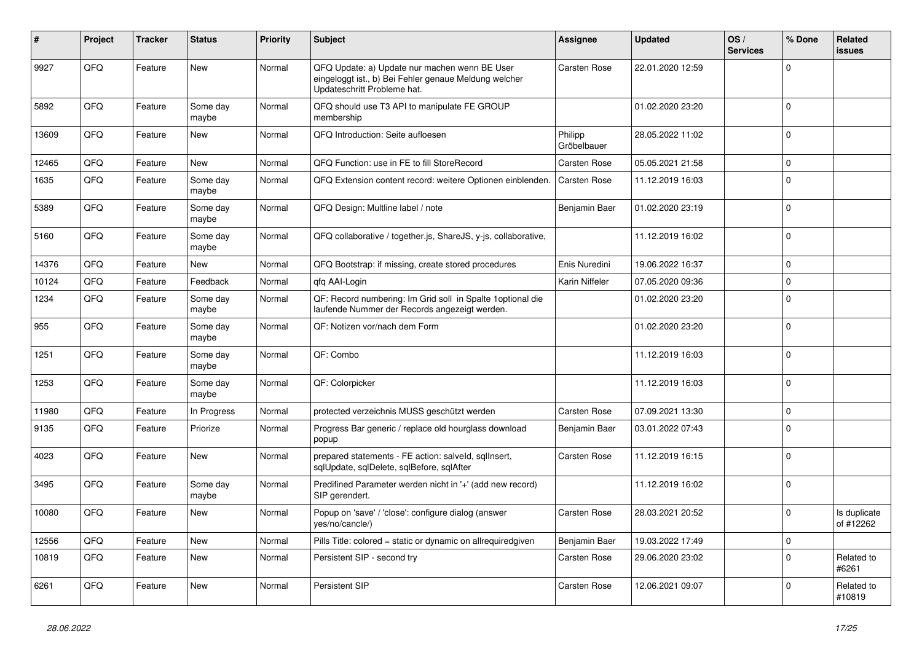| #     | Project | <b>Tracker</b> | <b>Status</b>     | <b>Priority</b> | <b>Subject</b>                                                                                                                        | <b>Assignee</b>        | <b>Updated</b>   | OS/<br><b>Services</b> | % Done       | Related<br><b>issues</b>  |
|-------|---------|----------------|-------------------|-----------------|---------------------------------------------------------------------------------------------------------------------------------------|------------------------|------------------|------------------------|--------------|---------------------------|
| 9927  | QFQ     | Feature        | <b>New</b>        | Normal          | QFQ Update: a) Update nur machen wenn BE User<br>eingeloggt ist., b) Bei Fehler genaue Meldung welcher<br>Updateschritt Probleme hat. | Carsten Rose           | 22.01.2020 12:59 |                        | $\Omega$     |                           |
| 5892  | QFQ     | Feature        | Some day<br>maybe | Normal          | QFQ should use T3 API to manipulate FE GROUP<br>membership                                                                            |                        | 01.02.2020 23:20 |                        | $\Omega$     |                           |
| 13609 | QFQ     | Feature        | <b>New</b>        | Normal          | QFQ Introduction: Seite aufloesen                                                                                                     | Philipp<br>Gröbelbauer | 28.05.2022 11:02 |                        | $\Omega$     |                           |
| 12465 | QFQ     | Feature        | <b>New</b>        | Normal          | QFQ Function: use in FE to fill StoreRecord                                                                                           | Carsten Rose           | 05.05.2021 21:58 |                        | $\mathbf{0}$ |                           |
| 1635  | QFQ     | Feature        | Some day<br>maybe | Normal          | QFQ Extension content record: weitere Optionen einblenden.                                                                            | Carsten Rose           | 11.12.2019 16:03 |                        | $\Omega$     |                           |
| 5389  | QFQ     | Feature        | Some day<br>maybe | Normal          | QFQ Design: Multline label / note                                                                                                     | Benjamin Baer          | 01.02.2020 23:19 |                        | $\Omega$     |                           |
| 5160  | QFQ     | Feature        | Some day<br>maybe | Normal          | QFQ collaborative / together.js, ShareJS, y-js, collaborative,                                                                        |                        | 11.12.2019 16:02 |                        | $\Omega$     |                           |
| 14376 | QFQ     | Feature        | <b>New</b>        | Normal          | QFQ Bootstrap: if missing, create stored procedures                                                                                   | Enis Nuredini          | 19.06.2022 16:37 |                        | $\mathbf{0}$ |                           |
| 10124 | QFQ     | Feature        | Feedback          | Normal          | qfq AAI-Login                                                                                                                         | Karin Niffeler         | 07.05.2020 09:36 |                        | $\mathbf 0$  |                           |
| 1234  | QFQ     | Feature        | Some day<br>maybe | Normal          | QF: Record numbering: Im Grid soll in Spalte 1 optional die<br>laufende Nummer der Records angezeigt werden.                          |                        | 01.02.2020 23:20 |                        | $\Omega$     |                           |
| 955   | QFQ     | Feature        | Some day<br>maybe | Normal          | QF: Notizen vor/nach dem Form                                                                                                         |                        | 01.02.2020 23:20 |                        | $\Omega$     |                           |
| 1251  | QFQ     | Feature        | Some day<br>maybe | Normal          | QF: Combo                                                                                                                             |                        | 11.12.2019 16:03 |                        | $\Omega$     |                           |
| 1253  | QFQ     | Feature        | Some day<br>maybe | Normal          | QF: Colorpicker                                                                                                                       |                        | 11.12.2019 16:03 |                        | $\Omega$     |                           |
| 11980 | QFQ     | Feature        | In Progress       | Normal          | protected verzeichnis MUSS geschützt werden                                                                                           | Carsten Rose           | 07.09.2021 13:30 |                        | $\Omega$     |                           |
| 9135  | QFQ     | Feature        | Priorize          | Normal          | Progress Bar generic / replace old hourglass download<br>popup                                                                        | Benjamin Baer          | 03.01.2022 07:43 |                        | $\Omega$     |                           |
| 4023  | QFQ     | Feature        | <b>New</b>        | Normal          | prepared statements - FE action: salveld, sqllnsert,<br>sqlUpdate, sqlDelete, sqlBefore, sqlAfter                                     | Carsten Rose           | 11.12.2019 16:15 |                        | $\Omega$     |                           |
| 3495  | QFQ     | Feature        | Some day<br>maybe | Normal          | Predifined Parameter werden nicht in '+' (add new record)<br>SIP gerendert.                                                           |                        | 11.12.2019 16:02 |                        | $\mathbf 0$  |                           |
| 10080 | QFQ     | Feature        | <b>New</b>        | Normal          | Popup on 'save' / 'close': configure dialog (answer<br>yes/no/cancle/)                                                                | Carsten Rose           | 28.03.2021 20:52 |                        | $\Omega$     | Is duplicate<br>of #12262 |
| 12556 | QFQ     | Feature        | New               | Normal          | Pills Title: colored = static or dynamic on allrequiredgiven                                                                          | Benjamin Baer          | 19.03.2022 17:49 |                        | $\mathbf{0}$ |                           |
| 10819 | QFQ     | Feature        | <b>New</b>        | Normal          | Persistent SIP - second try                                                                                                           | Carsten Rose           | 29.06.2020 23:02 |                        | $\Omega$     | Related to<br>#6261       |
| 6261  | QFQ     | Feature        | <b>New</b>        | Normal          | Persistent SIP                                                                                                                        | Carsten Rose           | 12.06.2021 09:07 |                        | $\Omega$     | Related to<br>#10819      |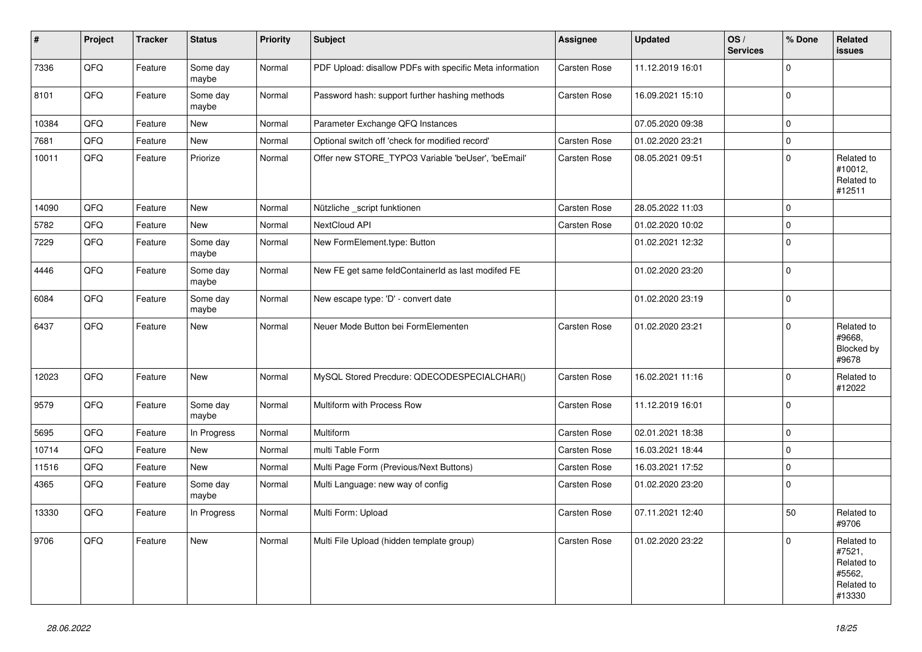| $\vert$ # | Project | <b>Tracker</b> | <b>Status</b>     | Priority | <b>Subject</b>                                           | Assignee     | <b>Updated</b>   | OS/<br><b>Services</b> | % Done       | Related<br><b>issues</b>                                             |
|-----------|---------|----------------|-------------------|----------|----------------------------------------------------------|--------------|------------------|------------------------|--------------|----------------------------------------------------------------------|
| 7336      | QFQ     | Feature        | Some day<br>maybe | Normal   | PDF Upload: disallow PDFs with specific Meta information | Carsten Rose | 11.12.2019 16:01 |                        | $\mathbf 0$  |                                                                      |
| 8101      | QFQ     | Feature        | Some day<br>maybe | Normal   | Password hash: support further hashing methods           | Carsten Rose | 16.09.2021 15:10 |                        | $\Omega$     |                                                                      |
| 10384     | QFQ     | Feature        | <b>New</b>        | Normal   | Parameter Exchange QFQ Instances                         |              | 07.05.2020 09:38 |                        | $\mathbf 0$  |                                                                      |
| 7681      | QFQ     | Feature        | New               | Normal   | Optional switch off 'check for modified record'          | Carsten Rose | 01.02.2020 23:21 |                        | $\mathbf{0}$ |                                                                      |
| 10011     | QFQ     | Feature        | Priorize          | Normal   | Offer new STORE_TYPO3 Variable 'beUser', 'beEmail'       | Carsten Rose | 08.05.2021 09:51 |                        | $\mathbf 0$  | Related to<br>#10012,<br>Related to<br>#12511                        |
| 14090     | QFQ     | Feature        | <b>New</b>        | Normal   | Nützliche _script funktionen                             | Carsten Rose | 28.05.2022 11:03 |                        | $\mathbf{0}$ |                                                                      |
| 5782      | QFQ     | Feature        | <b>New</b>        | Normal   | NextCloud API                                            | Carsten Rose | 01.02.2020 10:02 |                        | $\mathbf{0}$ |                                                                      |
| 7229      | QFQ     | Feature        | Some day<br>maybe | Normal   | New FormElement.type: Button                             |              | 01.02.2021 12:32 |                        | $\pmb{0}$    |                                                                      |
| 4446      | QFQ     | Feature        | Some day<br>maybe | Normal   | New FE get same feldContainerId as last modifed FE       |              | 01.02.2020 23:20 |                        | $\mathbf 0$  |                                                                      |
| 6084      | QFQ     | Feature        | Some day<br>maybe | Normal   | New escape type: 'D' - convert date                      |              | 01.02.2020 23:19 |                        | $\mathbf{0}$ |                                                                      |
| 6437      | QFQ     | Feature        | <b>New</b>        | Normal   | Neuer Mode Button bei FormElementen                      | Carsten Rose | 01.02.2020 23:21 |                        | $\Omega$     | Related to<br>#9668,<br>Blocked by<br>#9678                          |
| 12023     | QFQ     | Feature        | New               | Normal   | MySQL Stored Precdure: QDECODESPECIALCHAR()              | Carsten Rose | 16.02.2021 11:16 |                        | $\mathbf 0$  | Related to<br>#12022                                                 |
| 9579      | QFQ     | Feature        | Some day<br>maybe | Normal   | Multiform with Process Row                               | Carsten Rose | 11.12.2019 16:01 |                        | $\Omega$     |                                                                      |
| 5695      | QFQ     | Feature        | In Progress       | Normal   | Multiform                                                | Carsten Rose | 02.01.2021 18:38 |                        | $\mathbf{0}$ |                                                                      |
| 10714     | QFQ     | Feature        | <b>New</b>        | Normal   | multi Table Form                                         | Carsten Rose | 16.03.2021 18:44 |                        | $\mathbf{0}$ |                                                                      |
| 11516     | QFQ     | Feature        | New               | Normal   | Multi Page Form (Previous/Next Buttons)                  | Carsten Rose | 16.03.2021 17:52 |                        | $\mathbf 0$  |                                                                      |
| 4365      | QFQ     | Feature        | Some day<br>maybe | Normal   | Multi Language: new way of config                        | Carsten Rose | 01.02.2020 23:20 |                        | $\mathbf 0$  |                                                                      |
| 13330     | QFQ     | Feature        | In Progress       | Normal   | Multi Form: Upload                                       | Carsten Rose | 07.11.2021 12:40 |                        | 50           | Related to<br>#9706                                                  |
| 9706      | QFQ     | Feature        | New               | Normal   | Multi File Upload (hidden template group)                | Carsten Rose | 01.02.2020 23:22 |                        | $\mathbf 0$  | Related to<br>#7521,<br>Related to<br>#5562,<br>Related to<br>#13330 |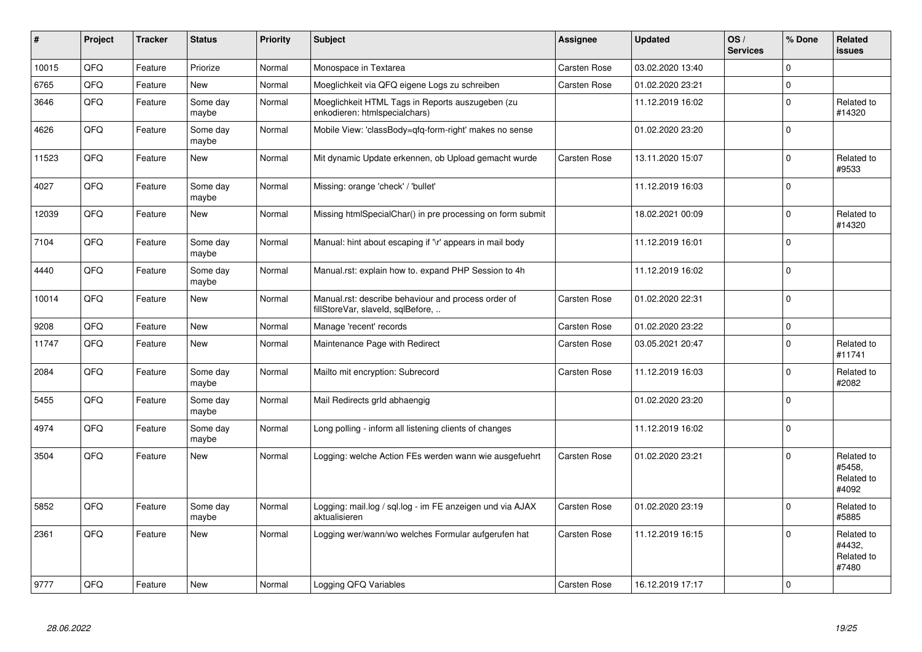| $\pmb{\sharp}$ | Project | <b>Tracker</b> | <b>Status</b>     | <b>Priority</b> | <b>Subject</b>                                                                           | Assignee            | <b>Updated</b>   | OS/<br><b>Services</b> | % Done       | Related<br><b>issues</b>                    |
|----------------|---------|----------------|-------------------|-----------------|------------------------------------------------------------------------------------------|---------------------|------------------|------------------------|--------------|---------------------------------------------|
| 10015          | QFQ     | Feature        | Priorize          | Normal          | Monospace in Textarea                                                                    | Carsten Rose        | 03.02.2020 13:40 |                        | $\Omega$     |                                             |
| 6765           | QFQ     | Feature        | <b>New</b>        | Normal          | Moeglichkeit via QFQ eigene Logs zu schreiben                                            | Carsten Rose        | 01.02.2020 23:21 |                        | $\mathbf 0$  |                                             |
| 3646           | QFQ     | Feature        | Some day<br>maybe | Normal          | Moeglichkeit HTML Tags in Reports auszugeben (zu<br>enkodieren: htmlspecialchars)        |                     | 11.12.2019 16:02 |                        | $\mathbf 0$  | Related to<br>#14320                        |
| 4626           | QFQ     | Feature        | Some day<br>maybe | Normal          | Mobile View: 'classBody=qfq-form-right' makes no sense                                   |                     | 01.02.2020 23:20 |                        | $\mathbf 0$  |                                             |
| 11523          | QFQ     | Feature        | <b>New</b>        | Normal          | Mit dynamic Update erkennen, ob Upload gemacht wurde                                     | Carsten Rose        | 13.11.2020 15:07 |                        | $\mathbf{0}$ | Related to<br>#9533                         |
| 4027           | QFQ     | Feature        | Some day<br>maybe | Normal          | Missing: orange 'check' / 'bullet'                                                       |                     | 11.12.2019 16:03 |                        | $\mathbf 0$  |                                             |
| 12039          | QFQ     | Feature        | <b>New</b>        | Normal          | Missing htmlSpecialChar() in pre processing on form submit                               |                     | 18.02.2021 00:09 |                        | $\mathbf{0}$ | Related to<br>#14320                        |
| 7104           | QFQ     | Feature        | Some day<br>maybe | Normal          | Manual: hint about escaping if '\r' appears in mail body                                 |                     | 11.12.2019 16:01 |                        | $\mathbf{0}$ |                                             |
| 4440           | QFQ     | Feature        | Some day<br>maybe | Normal          | Manual.rst: explain how to. expand PHP Session to 4h                                     |                     | 11.12.2019 16:02 |                        | $\mathbf 0$  |                                             |
| 10014          | QFQ     | Feature        | <b>New</b>        | Normal          | Manual.rst: describe behaviour and process order of<br>fillStoreVar, slaveId, sqlBefore, | Carsten Rose        | 01.02.2020 22:31 |                        | $\mathbf{0}$ |                                             |
| 9208           | QFQ     | Feature        | <b>New</b>        | Normal          | Manage 'recent' records                                                                  | Carsten Rose        | 01.02.2020 23:22 |                        | $\pmb{0}$    |                                             |
| 11747          | QFQ     | Feature        | <b>New</b>        | Normal          | Maintenance Page with Redirect                                                           | Carsten Rose        | 03.05.2021 20:47 |                        | $\mathbf{0}$ | Related to<br>#11741                        |
| 2084           | QFQ     | Feature        | Some day<br>maybe | Normal          | Mailto mit encryption: Subrecord                                                         | Carsten Rose        | 11.12.2019 16:03 |                        | $\mathbf{0}$ | Related to<br>#2082                         |
| 5455           | QFQ     | Feature        | Some day<br>maybe | Normal          | Mail Redirects grld abhaengig                                                            |                     | 01.02.2020 23:20 |                        | $\Omega$     |                                             |
| 4974           | QFQ     | Feature        | Some day<br>maybe | Normal          | Long polling - inform all listening clients of changes                                   |                     | 11.12.2019 16:02 |                        | $\mathbf{0}$ |                                             |
| 3504           | QFQ     | Feature        | <b>New</b>        | Normal          | Logging: welche Action FEs werden wann wie ausgefuehrt                                   | Carsten Rose        | 01.02.2020 23:21 |                        | $\mathbf{0}$ | Related to<br>#5458,<br>Related to<br>#4092 |
| 5852           | QFQ     | Feature        | Some day<br>maybe | Normal          | Logging: mail.log / sql.log - im FE anzeigen und via AJAX<br>aktualisieren               | Carsten Rose        | 01.02.2020 23:19 |                        | $\mathbf{0}$ | Related to<br>#5885                         |
| 2361           | QFQ     | Feature        | New               | Normal          | Logging wer/wann/wo welches Formular aufgerufen hat                                      | Carsten Rose        | 11.12.2019 16:15 |                        | $\Omega$     | Related to<br>#4432.<br>Related to<br>#7480 |
| 9777           | QFQ     | Feature        | <b>New</b>        | Normal          | Logging QFQ Variables                                                                    | <b>Carsten Rose</b> | 16.12.2019 17:17 |                        | $\mathbf{0}$ |                                             |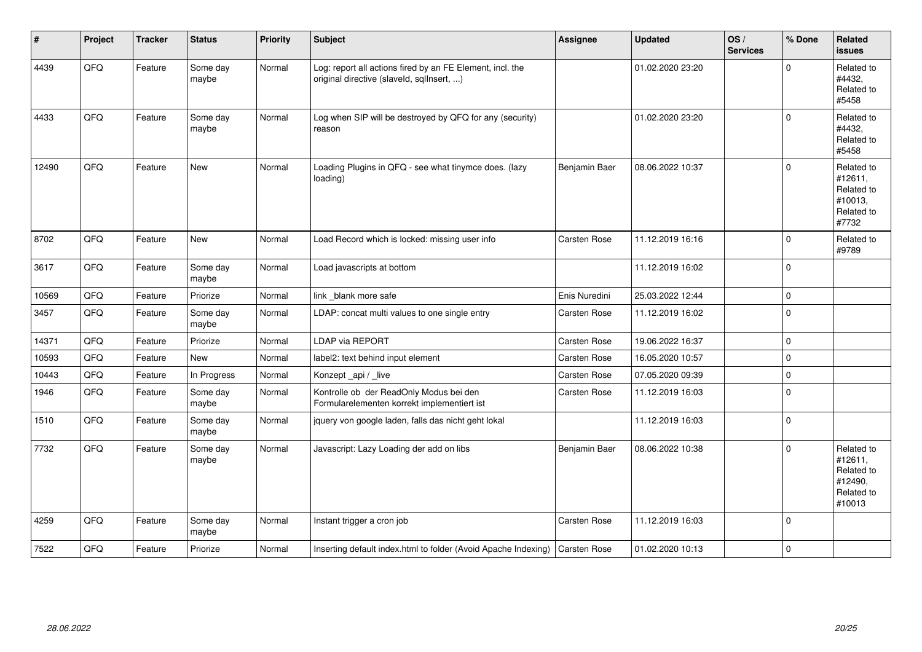| #     | Project | <b>Tracker</b> | <b>Status</b>     | <b>Priority</b> | <b>Subject</b>                                                                                         | <b>Assignee</b> | <b>Updated</b>   | OS/<br><b>Services</b> | % Done      | Related<br><b>issues</b>                                               |
|-------|---------|----------------|-------------------|-----------------|--------------------------------------------------------------------------------------------------------|-----------------|------------------|------------------------|-------------|------------------------------------------------------------------------|
| 4439  | QFQ     | Feature        | Some day<br>maybe | Normal          | Log: report all actions fired by an FE Element, incl. the<br>original directive (slaveld, sqlInsert, ) |                 | 01.02.2020 23:20 |                        | $\Omega$    | Related to<br>#4432,<br>Related to<br>#5458                            |
| 4433  | QFQ     | Feature        | Some day<br>maybe | Normal          | Log when SIP will be destroyed by QFQ for any (security)<br>reason                                     |                 | 01.02.2020 23:20 |                        | $\mathbf 0$ | Related to<br>#4432,<br>Related to<br>#5458                            |
| 12490 | QFQ     | Feature        | <b>New</b>        | Normal          | Loading Plugins in QFQ - see what tinymce does. (lazy<br>loading)                                      | Benjamin Baer   | 08.06.2022 10:37 |                        | $\Omega$    | Related to<br>#12611,<br>Related to<br>#10013,<br>Related to<br>#7732  |
| 8702  | QFQ     | Feature        | <b>New</b>        | Normal          | Load Record which is locked: missing user info                                                         | Carsten Rose    | 11.12.2019 16:16 |                        | $\mathbf 0$ | Related to<br>#9789                                                    |
| 3617  | QFQ     | Feature        | Some day<br>maybe | Normal          | Load javascripts at bottom                                                                             |                 | 11.12.2019 16:02 |                        | $\mathbf 0$ |                                                                        |
| 10569 | QFQ     | Feature        | Priorize          | Normal          | link _blank more safe                                                                                  | Enis Nuredini   | 25.03.2022 12:44 |                        | $\mathbf 0$ |                                                                        |
| 3457  | QFQ     | Feature        | Some day<br>maybe | Normal          | LDAP: concat multi values to one single entry                                                          | Carsten Rose    | 11.12.2019 16:02 |                        | $\mathbf 0$ |                                                                        |
| 14371 | QFQ     | Feature        | Priorize          | Normal          | LDAP via REPORT                                                                                        | Carsten Rose    | 19.06.2022 16:37 |                        | $\Omega$    |                                                                        |
| 10593 | QFQ     | Feature        | <b>New</b>        | Normal          | label2: text behind input element                                                                      | Carsten Rose    | 16.05.2020 10:57 |                        | $\mathbf 0$ |                                                                        |
| 10443 | QFQ     | Feature        | In Progress       | Normal          | Konzept_api / _live                                                                                    | Carsten Rose    | 07.05.2020 09:39 |                        | $\pmb{0}$   |                                                                        |
| 1946  | QFQ     | Feature        | Some day<br>maybe | Normal          | Kontrolle ob der ReadOnly Modus bei den<br>Formularelementen korrekt implementiert ist                 | Carsten Rose    | 11.12.2019 16:03 |                        | $\Omega$    |                                                                        |
| 1510  | QFQ     | Feature        | Some day<br>maybe | Normal          | jquery von google laden, falls das nicht geht lokal                                                    |                 | 11.12.2019 16:03 |                        | $\mathbf 0$ |                                                                        |
| 7732  | QFQ     | Feature        | Some day<br>maybe | Normal          | Javascript: Lazy Loading der add on libs                                                               | Benjamin Baer   | 08.06.2022 10:38 |                        | $\mathbf 0$ | Related to<br>#12611,<br>Related to<br>#12490,<br>Related to<br>#10013 |
| 4259  | QFQ     | Feature        | Some day<br>maybe | Normal          | Instant trigger a cron job                                                                             | Carsten Rose    | 11.12.2019 16:03 |                        | $\mathbf 0$ |                                                                        |
| 7522  | QFQ     | Feature        | Priorize          | Normal          | Inserting default index.html to folder (Avoid Apache Indexing)   Carsten Rose                          |                 | 01.02.2020 10:13 |                        | $\mathbf 0$ |                                                                        |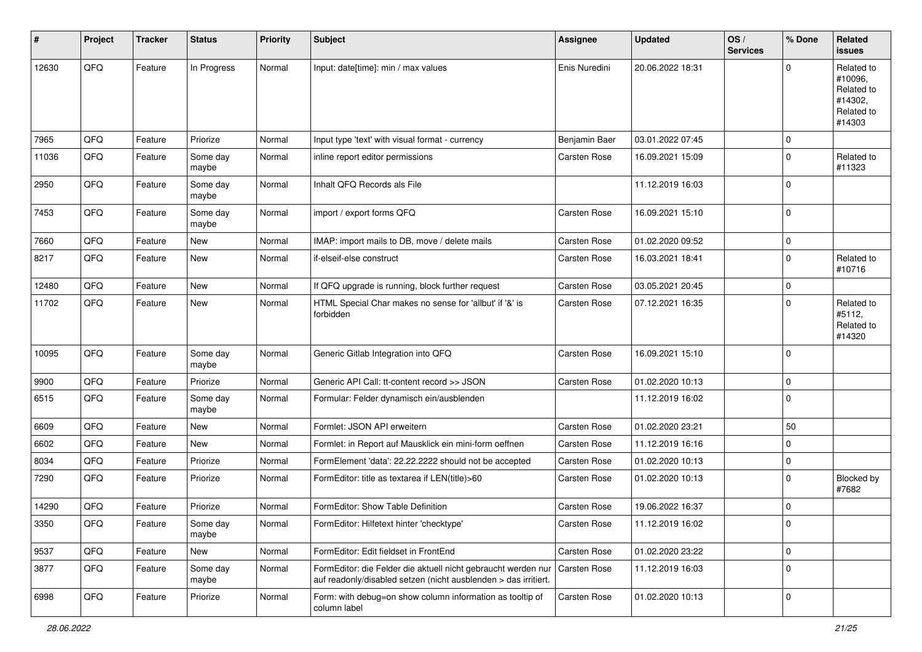| #     | Project | <b>Tracker</b> | <b>Status</b>     | <b>Priority</b> | <b>Subject</b>                                                                                                                   | <b>Assignee</b>     | <b>Updated</b>   | OS/<br><b>Services</b> | % Done         | Related<br><b>issues</b>                                               |
|-------|---------|----------------|-------------------|-----------------|----------------------------------------------------------------------------------------------------------------------------------|---------------------|------------------|------------------------|----------------|------------------------------------------------------------------------|
| 12630 | QFQ     | Feature        | In Progress       | Normal          | Input: date[time]: min / max values                                                                                              | Enis Nuredini       | 20.06.2022 18:31 |                        | $\mathbf 0$    | Related to<br>#10096,<br>Related to<br>#14302.<br>Related to<br>#14303 |
| 7965  | QFQ     | Feature        | Priorize          | Normal          | Input type 'text' with visual format - currency                                                                                  | Benjamin Baer       | 03.01.2022 07:45 |                        | $\mathbf 0$    |                                                                        |
| 11036 | QFQ     | Feature        | Some day<br>maybe | Normal          | inline report editor permissions                                                                                                 | Carsten Rose        | 16.09.2021 15:09 |                        | $\Omega$       | Related to<br>#11323                                                   |
| 2950  | QFQ     | Feature        | Some day<br>maybe | Normal          | Inhalt QFQ Records als File                                                                                                      |                     | 11.12.2019 16:03 |                        | $\mathbf 0$    |                                                                        |
| 7453  | QFQ     | Feature        | Some day<br>maybe | Normal          | import / export forms QFQ                                                                                                        | Carsten Rose        | 16.09.2021 15:10 |                        | $\overline{0}$ |                                                                        |
| 7660  | QFQ     | Feature        | New               | Normal          | IMAP: import mails to DB, move / delete mails                                                                                    | Carsten Rose        | 01.02.2020 09:52 |                        | $\mathbf 0$    |                                                                        |
| 8217  | QFQ     | Feature        | <b>New</b>        | Normal          | if-elseif-else construct                                                                                                         | Carsten Rose        | 16.03.2021 18:41 |                        | $\mathbf 0$    | Related to<br>#10716                                                   |
| 12480 | QFQ     | Feature        | <b>New</b>        | Normal          | If QFQ upgrade is running, block further request                                                                                 | Carsten Rose        | 03.05.2021 20:45 |                        | $\mathbf 0$    |                                                                        |
| 11702 | QFQ     | Feature        | <b>New</b>        | Normal          | HTML Special Char makes no sense for 'allbut' if '&' is<br>forbidden                                                             | Carsten Rose        | 07.12.2021 16:35 |                        | $\Omega$       | Related to<br>#5112,<br>Related to<br>#14320                           |
| 10095 | QFQ     | Feature        | Some day<br>maybe | Normal          | Generic Gitlab Integration into QFQ                                                                                              | Carsten Rose        | 16.09.2021 15:10 |                        | $\mathbf 0$    |                                                                        |
| 9900  | QFQ     | Feature        | Priorize          | Normal          | Generic API Call: tt-content record >> JSON                                                                                      | Carsten Rose        | 01.02.2020 10:13 |                        | $\mathbf 0$    |                                                                        |
| 6515  | QFQ     | Feature        | Some day<br>maybe | Normal          | Formular: Felder dynamisch ein/ausblenden                                                                                        |                     | 11.12.2019 16:02 |                        | $\Omega$       |                                                                        |
| 6609  | QFQ     | Feature        | New               | Normal          | Formlet: JSON API erweitern                                                                                                      | Carsten Rose        | 01.02.2020 23:21 |                        | 50             |                                                                        |
| 6602  | QFQ     | Feature        | New               | Normal          | Formlet: in Report auf Mausklick ein mini-form oeffnen                                                                           | Carsten Rose        | 11.12.2019 16:16 |                        | $\mathbf 0$    |                                                                        |
| 8034  | QFQ     | Feature        | Priorize          | Normal          | FormElement 'data': 22.22.2222 should not be accepted                                                                            | Carsten Rose        | 01.02.2020 10:13 |                        | $\mathbf 0$    |                                                                        |
| 7290  | QFQ     | Feature        | Priorize          | Normal          | FormEditor: title as textarea if LEN(title)>60                                                                                   | Carsten Rose        | 01.02.2020 10:13 |                        | $\Omega$       | Blocked by<br>#7682                                                    |
| 14290 | QFQ     | Feature        | Priorize          | Normal          | FormEditor: Show Table Definition                                                                                                | Carsten Rose        | 19.06.2022 16:37 |                        | $\mathbf 0$    |                                                                        |
| 3350  | QFQ     | Feature        | Some day<br>maybe | Normal          | FormEditor: Hilfetext hinter 'checktype'                                                                                         | Carsten Rose        | 11.12.2019 16:02 |                        | 0              |                                                                        |
| 9537  | QFQ     | Feature        | New               | Normal          | FormEditor: Edit fieldset in FrontEnd                                                                                            | Carsten Rose        | 01.02.2020 23:22 |                        | $\mathbf 0$    |                                                                        |
| 3877  | QFQ     | Feature        | Some day<br>maybe | Normal          | FormEditor: die Felder die aktuell nicht gebraucht werden nur<br>auf readonly/disabled setzen (nicht ausblenden > das irritiert. | <b>Carsten Rose</b> | 11.12.2019 16:03 |                        | $\mathbf 0$    |                                                                        |
| 6998  | QFQ     | Feature        | Priorize          | Normal          | Form: with debug=on show column information as tooltip of<br>column label                                                        | Carsten Rose        | 01.02.2020 10:13 |                        | $\pmb{0}$      |                                                                        |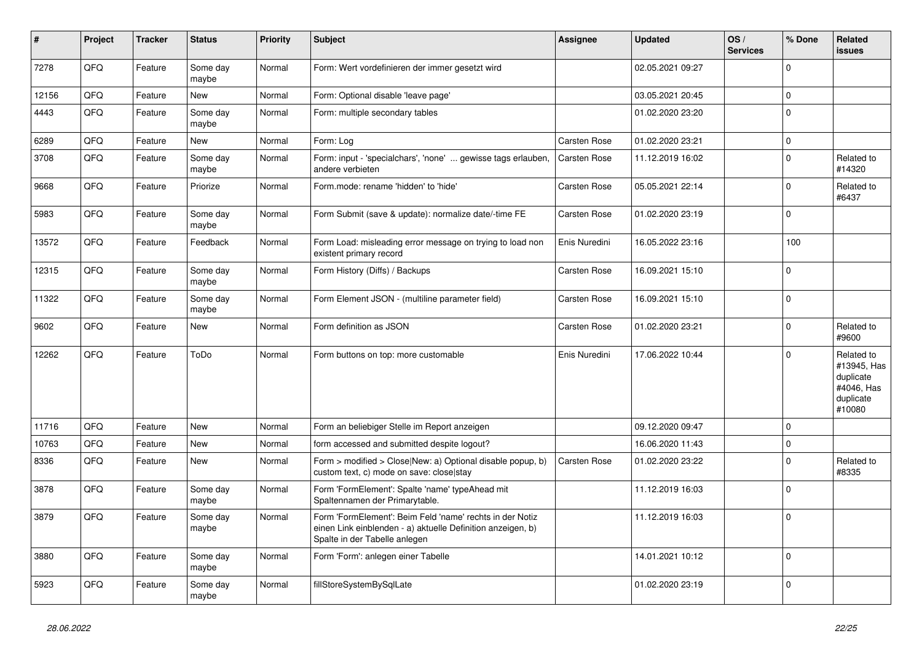| #     | Project | <b>Tracker</b> | <b>Status</b>     | <b>Priority</b> | <b>Subject</b>                                                                                                                                           | <b>Assignee</b>     | <b>Updated</b>   | OS/<br><b>Services</b> | % Done         | Related<br><b>issues</b>                                                    |
|-------|---------|----------------|-------------------|-----------------|----------------------------------------------------------------------------------------------------------------------------------------------------------|---------------------|------------------|------------------------|----------------|-----------------------------------------------------------------------------|
| 7278  | QFQ     | Feature        | Some day<br>maybe | Normal          | Form: Wert vordefinieren der immer gesetzt wird                                                                                                          |                     | 02.05.2021 09:27 |                        | $\Omega$       |                                                                             |
| 12156 | QFQ     | Feature        | <b>New</b>        | Normal          | Form: Optional disable 'leave page'                                                                                                                      |                     | 03.05.2021 20:45 |                        | $\mathbf{0}$   |                                                                             |
| 4443  | QFQ     | Feature        | Some day<br>maybe | Normal          | Form: multiple secondary tables                                                                                                                          |                     | 01.02.2020 23:20 |                        | $\Omega$       |                                                                             |
| 6289  | QFQ     | Feature        | <b>New</b>        | Normal          | Form: Log                                                                                                                                                | Carsten Rose        | 01.02.2020 23:21 |                        | $\Omega$       |                                                                             |
| 3708  | QFQ     | Feature        | Some day<br>maybe | Normal          | Form: input - 'specialchars', 'none'  gewisse tags erlauben,<br>andere verbieten                                                                         | <b>Carsten Rose</b> | 11.12.2019 16:02 |                        | $\Omega$       | Related to<br>#14320                                                        |
| 9668  | QFQ     | Feature        | Priorize          | Normal          | Form.mode: rename 'hidden' to 'hide'                                                                                                                     | Carsten Rose        | 05.05.2021 22:14 |                        | $\Omega$       | Related to<br>#6437                                                         |
| 5983  | QFQ     | Feature        | Some day<br>maybe | Normal          | Form Submit (save & update): normalize date/-time FE                                                                                                     | Carsten Rose        | 01.02.2020 23:19 |                        | $\Omega$       |                                                                             |
| 13572 | QFQ     | Feature        | Feedback          | Normal          | Form Load: misleading error message on trying to load non<br>existent primary record                                                                     | Enis Nuredini       | 16.05.2022 23:16 |                        | 100            |                                                                             |
| 12315 | QFQ     | Feature        | Some day<br>maybe | Normal          | Form History (Diffs) / Backups                                                                                                                           | Carsten Rose        | 16.09.2021 15:10 |                        | $\Omega$       |                                                                             |
| 11322 | QFQ     | Feature        | Some day<br>maybe | Normal          | Form Element JSON - (multiline parameter field)                                                                                                          | Carsten Rose        | 16.09.2021 15:10 |                        | $\Omega$       |                                                                             |
| 9602  | QFQ     | Feature        | <b>New</b>        | Normal          | Form definition as JSON                                                                                                                                  | Carsten Rose        | 01.02.2020 23:21 |                        | $\mathbf 0$    | Related to<br>#9600                                                         |
| 12262 | QFQ     | Feature        | ToDo              | Normal          | Form buttons on top: more customable                                                                                                                     | Enis Nuredini       | 17.06.2022 10:44 |                        | $\Omega$       | Related to<br>#13945, Has<br>duplicate<br>#4046, Has<br>duplicate<br>#10080 |
| 11716 | QFQ     | Feature        | <b>New</b>        | Normal          | Form an beliebiger Stelle im Report anzeigen                                                                                                             |                     | 09.12.2020 09:47 |                        | $\Omega$       |                                                                             |
| 10763 | QFQ     | Feature        | <b>New</b>        | Normal          | form accessed and submitted despite logout?                                                                                                              |                     | 16.06.2020 11:43 |                        | $\mathbf{0}$   |                                                                             |
| 8336  | QFQ     | Feature        | <b>New</b>        | Normal          | Form > modified > Close New: a) Optional disable popup, b)<br>custom text, c) mode on save: close stay                                                   | Carsten Rose        | 01.02.2020 23:22 |                        | $\Omega$       | Related to<br>#8335                                                         |
| 3878  | QFQ     | Feature        | Some day<br>maybe | Normal          | Form 'FormElement': Spalte 'name' typeAhead mit<br>Spaltennamen der Primarytable.                                                                        |                     | 11.12.2019 16:03 |                        | $\Omega$       |                                                                             |
| 3879  | QFQ     | Feature        | Some day<br>maybe | Normal          | Form 'FormElement': Beim Feld 'name' rechts in der Notiz<br>einen Link einblenden - a) aktuelle Definition anzeigen, b)<br>Spalte in der Tabelle anlegen |                     | 11.12.2019 16:03 |                        | $\overline{0}$ |                                                                             |
| 3880  | QFQ     | Feature        | Some day<br>maybe | Normal          | Form 'Form': anlegen einer Tabelle                                                                                                                       |                     | 14.01.2021 10:12 |                        | $\Omega$       |                                                                             |
| 5923  | QFQ     | Feature        | Some day<br>maybe | Normal          | fillStoreSystemBySqlLate                                                                                                                                 |                     | 01.02.2020 23:19 |                        | $\Omega$       |                                                                             |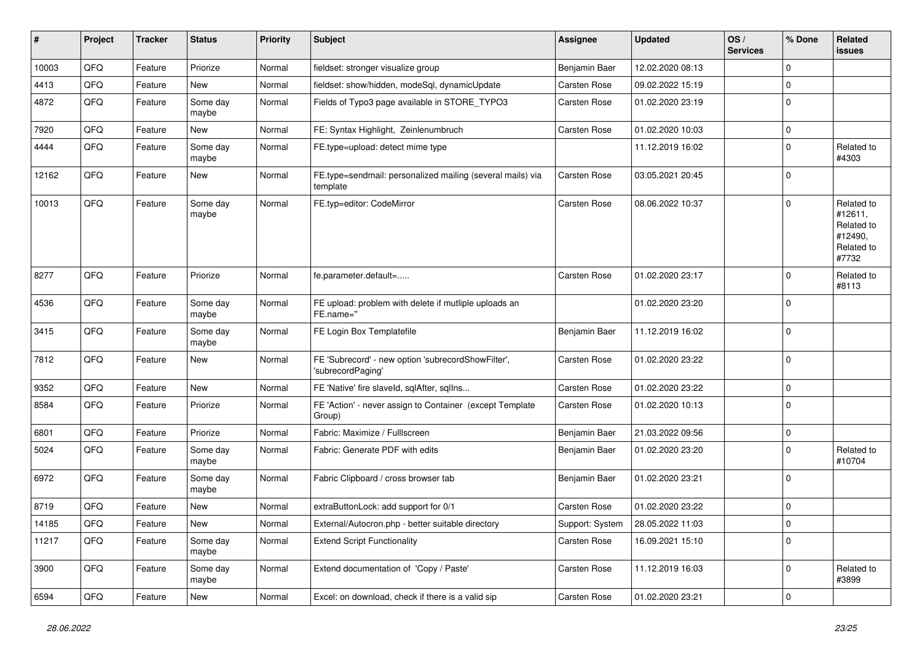| #     | Project | <b>Tracker</b> | <b>Status</b>     | <b>Priority</b> | <b>Subject</b>                                                          | <b>Assignee</b> | <b>Updated</b>   | OS/<br><b>Services</b> | % Done      | Related<br>issues                                                     |
|-------|---------|----------------|-------------------|-----------------|-------------------------------------------------------------------------|-----------------|------------------|------------------------|-------------|-----------------------------------------------------------------------|
| 10003 | QFQ     | Feature        | Priorize          | Normal          | fieldset: stronger visualize group                                      | Benjamin Baer   | 12.02.2020 08:13 |                        | $\Omega$    |                                                                       |
| 4413  | QFQ     | Feature        | <b>New</b>        | Normal          | fieldset: show/hidden, modeSql, dynamicUpdate                           | Carsten Rose    | 09.02.2022 15:19 |                        | $\mathbf 0$ |                                                                       |
| 4872  | QFQ     | Feature        | Some day<br>maybe | Normal          | Fields of Typo3 page available in STORE TYPO3                           | Carsten Rose    | 01.02.2020 23:19 |                        | $\Omega$    |                                                                       |
| 7920  | QFQ     | Feature        | New               | Normal          | FE: Syntax Highlight, Zeinlenumbruch                                    | Carsten Rose    | 01.02.2020 10:03 |                        | $\mathbf 0$ |                                                                       |
| 4444  | QFQ     | Feature        | Some day<br>maybe | Normal          | FE.type=upload: detect mime type                                        |                 | 11.12.2019 16:02 |                        | $\mathbf 0$ | Related to<br>#4303                                                   |
| 12162 | QFQ     | Feature        | New               | Normal          | FE.type=sendmail: personalized mailing (several mails) via<br>template  | Carsten Rose    | 03.05.2021 20:45 |                        | $\Omega$    |                                                                       |
| 10013 | QFQ     | Feature        | Some day<br>maybe | Normal          | FE.typ=editor: CodeMirror                                               | Carsten Rose    | 08.06.2022 10:37 |                        | $\Omega$    | Related to<br>#12611,<br>Related to<br>#12490,<br>Related to<br>#7732 |
| 8277  | QFQ     | Feature        | Priorize          | Normal          | fe.parameter.default=                                                   | Carsten Rose    | 01.02.2020 23:17 |                        | $\Omega$    | Related to<br>#8113                                                   |
| 4536  | QFQ     | Feature        | Some day<br>maybe | Normal          | FE upload: problem with delete if mutliple uploads an<br>FE.name="      |                 | 01.02.2020 23:20 |                        | $\mathbf 0$ |                                                                       |
| 3415  | QFQ     | Feature        | Some day<br>maybe | Normal          | FE Login Box Templatefile                                               | Benjamin Baer   | 11.12.2019 16:02 |                        | $\mathbf 0$ |                                                                       |
| 7812  | QFQ     | Feature        | New               | Normal          | FE 'Subrecord' - new option 'subrecordShowFilter',<br>'subrecordPaging' | Carsten Rose    | 01.02.2020 23:22 |                        | $\Omega$    |                                                                       |
| 9352  | QFQ     | Feature        | <b>New</b>        | Normal          | FE 'Native' fire slaveld, sqlAfter, sqlIns                              | Carsten Rose    | 01.02.2020 23:22 |                        | $\mathbf 0$ |                                                                       |
| 8584  | QFQ     | Feature        | Priorize          | Normal          | FE 'Action' - never assign to Container (except Template<br>Group)      | Carsten Rose    | 01.02.2020 10:13 |                        | $\Omega$    |                                                                       |
| 6801  | QFQ     | Feature        | Priorize          | Normal          | Fabric: Maximize / FullIscreen                                          | Benjamin Baer   | 21.03.2022 09:56 |                        | $\mathbf 0$ |                                                                       |
| 5024  | QFQ     | Feature        | Some day<br>maybe | Normal          | Fabric: Generate PDF with edits                                         | Benjamin Baer   | 01.02.2020 23:20 |                        | $\Omega$    | Related to<br>#10704                                                  |
| 6972  | QFQ     | Feature        | Some day<br>maybe | Normal          | Fabric Clipboard / cross browser tab                                    | Benjamin Baer   | 01.02.2020 23:21 |                        | $\Omega$    |                                                                       |
| 8719  | QFQ     | Feature        | <b>New</b>        | Normal          | extraButtonLock: add support for 0/1                                    | Carsten Rose    | 01.02.2020 23:22 |                        | $\mathbf 0$ |                                                                       |
| 14185 | QFQ     | Feature        | New               | Normal          | External/Autocron.php - better suitable directory                       | Support: System | 28.05.2022 11:03 |                        | 0           |                                                                       |
| 11217 | QFQ     | Feature        | Some day<br>maybe | Normal          | <b>Extend Script Functionality</b>                                      | Carsten Rose    | 16.09.2021 15:10 |                        | $\mathbf 0$ |                                                                       |
| 3900  | QFQ     | Feature        | Some day<br>maybe | Normal          | Extend documentation of 'Copy / Paste'                                  | Carsten Rose    | 11.12.2019 16:03 |                        | $\Omega$    | Related to<br>#3899                                                   |
| 6594  | QFQ     | Feature        | New               | Normal          | Excel: on download, check if there is a valid sip                       | Carsten Rose    | 01.02.2020 23:21 |                        | $\mathbf 0$ |                                                                       |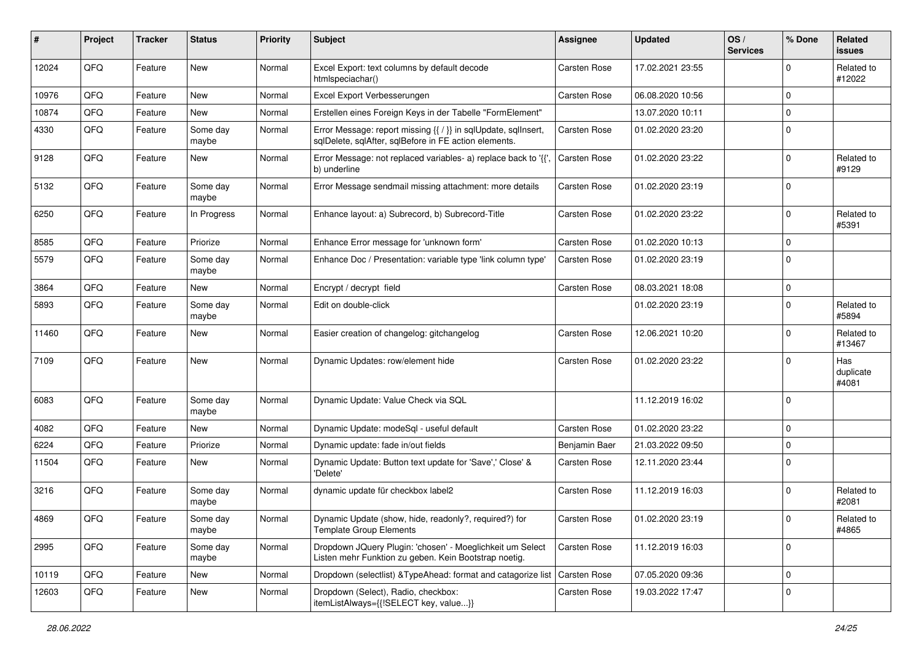| ∦     | Project | <b>Tracker</b> | <b>Status</b>     | <b>Priority</b> | <b>Subject</b>                                                                                                          | <b>Assignee</b> | <b>Updated</b>   | OS/<br><b>Services</b> | % Done      | Related<br><b>issues</b>  |
|-------|---------|----------------|-------------------|-----------------|-------------------------------------------------------------------------------------------------------------------------|-----------------|------------------|------------------------|-------------|---------------------------|
| 12024 | QFQ     | Feature        | <b>New</b>        | Normal          | Excel Export: text columns by default decode<br>htmlspeciachar()                                                        | Carsten Rose    | 17.02.2021 23:55 |                        | $\mathbf 0$ | Related to<br>#12022      |
| 10976 | QFQ     | Feature        | New               | Normal          | Excel Export Verbesserungen                                                                                             | Carsten Rose    | 06.08.2020 10:56 |                        | $\mathbf 0$ |                           |
| 10874 | QFQ     | Feature        | <b>New</b>        | Normal          | Erstellen eines Foreign Keys in der Tabelle "FormElement"                                                               |                 | 13.07.2020 10:11 |                        | $\mathbf 0$ |                           |
| 4330  | QFQ     | Feature        | Some day<br>maybe | Normal          | Error Message: report missing {{ / }} in sqlUpdate, sqlInsert,<br>sqlDelete, sqlAfter, sqlBefore in FE action elements. | Carsten Rose    | 01.02.2020 23:20 |                        | $\Omega$    |                           |
| 9128  | QFQ     | Feature        | New               | Normal          | Error Message: not replaced variables- a) replace back to '{{'<br>b) underline                                          | Carsten Rose    | 01.02.2020 23:22 |                        | $\mathbf 0$ | Related to<br>#9129       |
| 5132  | QFQ     | Feature        | Some day<br>maybe | Normal          | Error Message sendmail missing attachment: more details                                                                 | Carsten Rose    | 01.02.2020 23:19 |                        | $\mathbf 0$ |                           |
| 6250  | QFQ     | Feature        | In Progress       | Normal          | Enhance layout: a) Subrecord, b) Subrecord-Title                                                                        | Carsten Rose    | 01.02.2020 23:22 |                        | $\mathbf 0$ | Related to<br>#5391       |
| 8585  | QFQ     | Feature        | Priorize          | Normal          | Enhance Error message for 'unknown form'                                                                                | Carsten Rose    | 01.02.2020 10:13 |                        | $\mathbf 0$ |                           |
| 5579  | QFQ     | Feature        | Some day<br>maybe | Normal          | Enhance Doc / Presentation: variable type 'link column type'                                                            | Carsten Rose    | 01.02.2020 23:19 |                        | $\mathbf 0$ |                           |
| 3864  | QFQ     | Feature        | New               | Normal          | Encrypt / decrypt field                                                                                                 | Carsten Rose    | 08.03.2021 18:08 |                        | $\Omega$    |                           |
| 5893  | QFQ     | Feature        | Some day<br>maybe | Normal          | Edit on double-click                                                                                                    |                 | 01.02.2020 23:19 |                        | $\mathbf 0$ | Related to<br>#5894       |
| 11460 | QFQ     | Feature        | New               | Normal          | Easier creation of changelog: gitchangelog                                                                              | Carsten Rose    | 12.06.2021 10:20 |                        | $\Omega$    | Related to<br>#13467      |
| 7109  | QFQ     | Feature        | New               | Normal          | Dynamic Updates: row/element hide                                                                                       | Carsten Rose    | 01.02.2020 23:22 |                        | $\Omega$    | Has<br>duplicate<br>#4081 |
| 6083  | QFQ     | Feature        | Some day<br>maybe | Normal          | Dynamic Update: Value Check via SQL                                                                                     |                 | 11.12.2019 16:02 |                        | $\mathbf 0$ |                           |
| 4082  | QFQ     | Feature        | <b>New</b>        | Normal          | Dynamic Update: modeSql - useful default                                                                                | Carsten Rose    | 01.02.2020 23:22 |                        | $\mathbf 0$ |                           |
| 6224  | QFQ     | Feature        | Priorize          | Normal          | Dynamic update: fade in/out fields                                                                                      | Benjamin Baer   | 21.03.2022 09:50 |                        | $\Omega$    |                           |
| 11504 | QFQ     | Feature        | New               | Normal          | Dynamic Update: Button text update for 'Save',' Close' &<br>'Delete'                                                    | Carsten Rose    | 12.11.2020 23:44 |                        | $\mathbf 0$ |                           |
| 3216  | QFQ     | Feature        | Some day<br>maybe | Normal          | dynamic update für checkbox label2                                                                                      | Carsten Rose    | 11.12.2019 16:03 |                        | $\mathbf 0$ | Related to<br>#2081       |
| 4869  | QFQ     | Feature        | Some day<br>maybe | Normal          | Dynamic Update (show, hide, readonly?, required?) for<br><b>Template Group Elements</b>                                 | Carsten Rose    | 01.02.2020 23:19 |                        | $\mathbf 0$ | Related to<br>#4865       |
| 2995  | QFQ     | Feature        | Some day<br>maybe | Normal          | Dropdown JQuery Plugin: 'chosen' - Moeglichkeit um Select<br>Listen mehr Funktion zu geben. Kein Bootstrap noetig.      | Carsten Rose    | 11.12.2019 16:03 |                        | $\mathbf 0$ |                           |
| 10119 | QFQ     | Feature        | New               | Normal          | Dropdown (selectlist) & TypeAhead: format and catagorize list                                                           | Carsten Rose    | 07.05.2020 09:36 |                        | $\mathbf 0$ |                           |
| 12603 | QFQ     | Feature        | New               | Normal          | Dropdown (Select), Radio, checkbox:<br>itemListAlways={{!SELECT key, value}}                                            | Carsten Rose    | 19.03.2022 17:47 |                        | $\mathbf 0$ |                           |